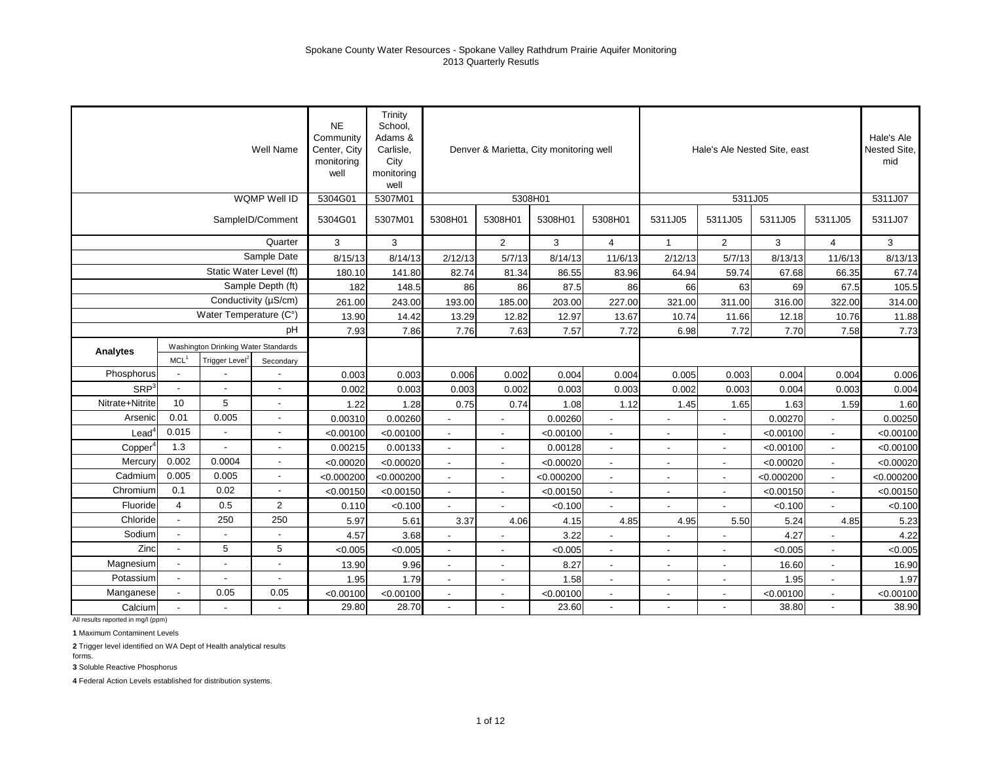|                   |                      |                                     | Well Name                | <b>NE</b><br>Community<br>Center, City<br>monitoring<br>well | Trinity<br>School,<br>Adams &<br>Carlisle,<br>City<br>monitoring<br>well |                          |                          | Denver & Marietta, City monitoring well |                          |                          | Hale's Ale Nested Site, east |            |                      | Hale's Ale<br>Nested Site,<br>mid |
|-------------------|----------------------|-------------------------------------|--------------------------|--------------------------------------------------------------|--------------------------------------------------------------------------|--------------------------|--------------------------|-----------------------------------------|--------------------------|--------------------------|------------------------------|------------|----------------------|-----------------------------------|
|                   |                      |                                     | WQMP Well ID             | 5304G01                                                      | 5307M01                                                                  |                          | 5308H01                  |                                         |                          |                          | 5311J05                      |            |                      | 5311J07                           |
|                   |                      |                                     | SampleID/Comment         | 5304G01                                                      | 5307M01                                                                  | 5308H01                  | 5308H01                  | 5308H01                                 | 5308H01                  | 5311J05                  | 5311J05                      | 5311J05    | 5311J05              | 5311J07                           |
|                   |                      |                                     | Quarter                  | 3                                                            | 3                                                                        |                          | $\overline{2}$           | 3                                       | $\overline{4}$           | $\mathbf{1}$             | $\overline{2}$               | 3          | $\overline{4}$       | 3                                 |
|                   |                      |                                     | Sample Date              | 8/15/13                                                      | 8/14/13                                                                  | 2/12/13                  | 5/7/13                   | 8/14/13                                 | 11/6/13                  | 2/12/13                  | 5/7/13                       | 8/13/13    | 11/6/13              | 8/13/13                           |
|                   |                      |                                     | Static Water Level (ft)  | 180.10                                                       | 141.80                                                                   | 82.74                    | 81.34                    | 86.55                                   | 83.96                    | 64.94                    | 59.74                        | 67.68      | 66.35                | 67.74                             |
|                   |                      |                                     | Sample Depth (ft)        | 182                                                          | 148.5                                                                    | 86                       | 86                       | 87.5                                    | 86                       | 66                       | 63                           | 69         | 67.5                 | 105.5                             |
|                   |                      |                                     | Conductivity (µS/cm)     | 261.00                                                       | 243.00                                                                   | 193.00                   | 185.00                   | 203.00                                  | 227.00                   | 321.00                   | 311.00                       | 316.00     | 322.00               | 314.00                            |
|                   |                      | Water Temperature (C°)              |                          | 13.90                                                        | 14.42                                                                    | 13.29                    | 12.82                    | 12.97                                   | 13.67                    | 10.74                    | 11.66                        | 12.18      | 10.76                | 11.88                             |
|                   |                      |                                     | рH                       | 7.93                                                         | 7.86                                                                     | 7.76                     | 7.63                     | 7.57                                    | 7.72                     | 6.98                     | 7.72                         | 7.70       | 7.58                 | 7.73                              |
| Analytes          |                      | Washington Drinking Water Standards |                          |                                                              |                                                                          |                          |                          |                                         |                          |                          |                              |            |                      |                                   |
|                   | MCL <sup>1</sup>     | Trigger Level <sup>2</sup>          | Secondary                |                                                              |                                                                          |                          |                          |                                         |                          |                          |                              |            |                      |                                   |
| Phosphorus        |                      |                                     |                          | 0.003                                                        | 0.003                                                                    | 0.006                    | 0.002                    | 0.004                                   | 0.004                    | 0.005                    | 0.003                        | 0.004      | 0.004                | 0.006                             |
| SRP <sup>3</sup>  | $\blacksquare$       | $\blacksquare$                      |                          | 0.002                                                        | 0.003                                                                    | 0.003                    | 0.002                    | 0.003                                   | 0.003                    | 0.002                    | 0.003                        | 0.004      | 0.003                | 0.004                             |
| Nitrate+Nitrite   | 10                   | 5                                   | $\blacksquare$           | 1.22                                                         | 1.28                                                                     | 0.75                     | 0.74                     | 1.08                                    | 1.12                     | 1.45                     | 1.65                         | 1.63       | 1.59                 | 1.60                              |
| Arsenic           | 0.01                 | 0.005                               | $\sim$                   | 0.00310                                                      | 0.00260                                                                  |                          |                          | 0.00260                                 |                          |                          |                              | 0.00270    |                      | 0.00250                           |
| $\textsf{Lead}^4$ | 0.015                |                                     | $\overline{a}$           | < 0.00100                                                    | < 0.00100                                                                |                          | $\overline{\phantom{a}}$ | < 0.00100                               |                          |                          |                              | < 0.00100  |                      | < 0.00100                         |
| Copper            | 1.3                  |                                     |                          | 0.00215                                                      | 0.00133                                                                  | $\overline{\phantom{a}}$ | $\overline{\phantom{a}}$ | 0.00128                                 |                          |                          | $\overline{\phantom{a}}$     | < 0.00100  |                      | < 0.00100                         |
| Mercury           | 0.002                | 0.0004                              | $\overline{\phantom{a}}$ | < 0.00020                                                    | < 0.00020                                                                | $\overline{\phantom{a}}$ | $\overline{\phantom{a}}$ | < 0.00020                               | $\overline{\phantom{a}}$ | $\overline{\phantom{a}}$ | $\overline{\phantom{a}}$     | < 0.00020  | $\sim$               | < 0.00020                         |
| Cadmium           | 0.005                | 0.005                               | $\overline{\phantom{a}}$ | < 0.000200                                                   | < 0.000200                                                               | $\blacksquare$           | $\blacksquare$           | < 0.000200                              |                          |                          | $\blacksquare$               | < 0.000200 | $\sim$               | < 0.000200                        |
| Chromium          | 0.1                  | 0.02                                | $\overline{a}$           | < 0.00150                                                    | < 0.00150                                                                | $\blacksquare$           | $\blacksquare$           | < 0.00150                               |                          |                          | $\blacksquare$               | < 0.00150  | $\blacksquare$       | < 0.00150                         |
| Fluoride          | $\overline{4}$       | 0.5                                 | $\overline{2}$           | 0.110                                                        | < 0.100                                                                  |                          |                          | < 0.100                                 |                          |                          |                              | < 0.100    |                      | < 0.100                           |
| Chloride          | $\blacksquare$       | 250                                 | 250                      | 5.97                                                         | 5.61                                                                     | 3.37                     | 4.06                     | 4.15                                    | 4.85                     | 4.95                     | 5.50                         | 5.24       | 4.85                 | 5.23                              |
| Sodium            | $\ddot{\phantom{a}}$ | $\overline{\phantom{a}}$            |                          | 4.57                                                         | 3.68                                                                     |                          |                          | 3.22                                    |                          |                          |                              | 4.27       |                      | 4.22                              |
| Zinc              |                      | 5                                   | 5                        | < 0.005                                                      | < 0.005                                                                  | $\overline{\phantom{a}}$ | $\overline{\phantom{a}}$ | < 0.005                                 |                          |                          |                              | < 0.005    | $\blacksquare$       | < 0.005                           |
| Magnesium         |                      | $\overline{\phantom{a}}$            | $\blacksquare$           | 13.90                                                        | 9.96                                                                     | $\blacksquare$           | $\overline{a}$           | 8.27                                    | $\overline{\phantom{a}}$ | $\overline{\phantom{a}}$ | $\blacksquare$               | 16.60      | $\blacksquare$       | 16.90                             |
| Potassium         | $\blacksquare$       | $\overline{\phantom{a}}$            | $\sim$                   | 1.95                                                         | 1.79                                                                     | $\overline{a}$           | $\blacksquare$           | 1.58                                    | $\overline{\phantom{a}}$ |                          | $\blacksquare$               | 1.95       | $\ddot{\phantom{a}}$ | 1.97                              |
| Manganese         |                      | 0.05                                | 0.05                     | < 0.00100                                                    | < 0.00100                                                                | $\overline{a}$           |                          | < 0.00100                               |                          |                          |                              | < 0.00100  |                      | < 0.00100                         |
| Calcium           |                      |                                     |                          | 29.80                                                        | 28.70                                                                    | $\overline{a}$           |                          | 23.60                                   | $\mathbf{r}$             |                          |                              | 38.80      | $\ddot{\phantom{a}}$ | 38.90                             |

All results reported in mg/l (ppm)

**1** Maximum Contaminent Levels

**2** Trigger level identified on WA Dept of Health analytical results

forms. **3** Soluble Reactive Phosphorus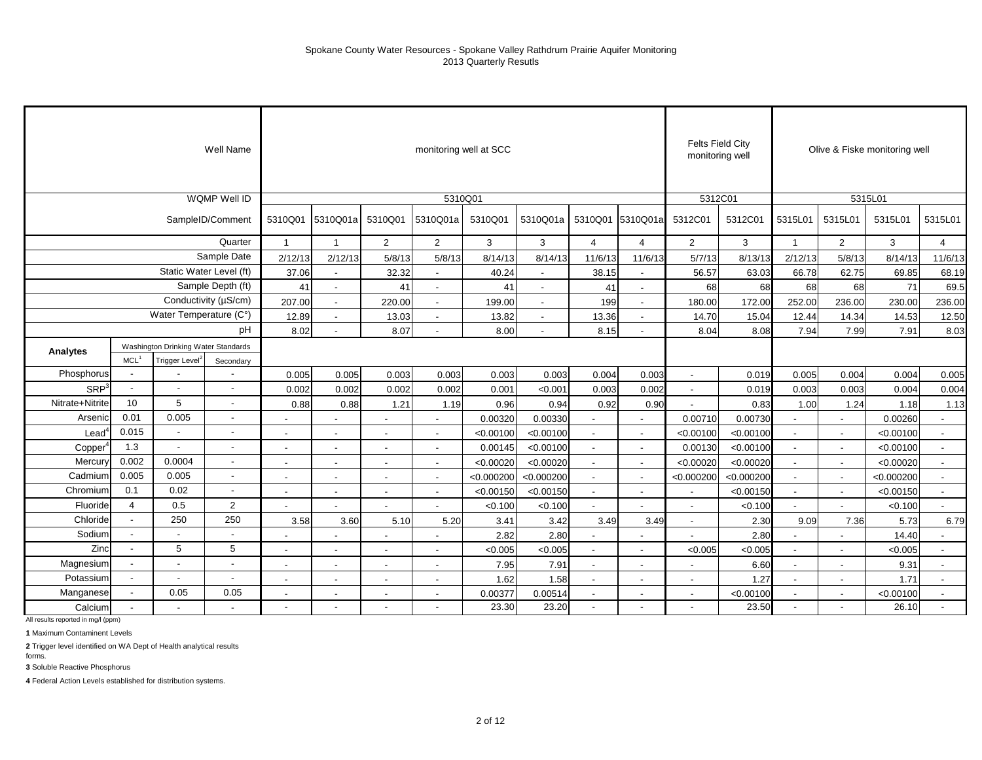|                  |                          |                                     | Well Name                |                |                          |                          | monitoring well at SCC   |            |                |                |                          | <b>Felts Field City</b><br>monitoring well |            |                |                          | Olive & Fiske monitoring well |                |
|------------------|--------------------------|-------------------------------------|--------------------------|----------------|--------------------------|--------------------------|--------------------------|------------|----------------|----------------|--------------------------|--------------------------------------------|------------|----------------|--------------------------|-------------------------------|----------------|
|                  |                          |                                     | <b>WQMP Well ID</b>      |                |                          |                          | 5310Q01                  |            |                |                |                          | 5312C01                                    |            |                |                          | 5315L01                       |                |
|                  |                          |                                     | SampleID/Comment         | 5310Q01        | 5310Q01a                 | 5310Q01                  | 5310Q01a                 | 5310Q01    | 5310Q01a       |                | 5310Q01 5310Q01a         | 5312C01                                    | 5312C01    | 5315L01        | 5315L01                  | 5315L01                       | 5315L01        |
|                  |                          |                                     | Quarter                  | $\overline{1}$ | $\overline{1}$           | 2                        | 2                        | 3          | 3              | 4              | 4                        | $\overline{2}$                             | 3          | $\mathbf{1}$   | 2                        | 3                             | $\overline{4}$ |
|                  |                          |                                     | Sample Date              | 2/12/13        | 2/12/13                  | 5/8/13                   | 5/8/13                   | 8/14/13    | 8/14/13        | 11/6/13        | 11/6/13                  | 5/7/13                                     | 8/13/13    | 2/12/13        | 5/8/13                   | 8/14/13                       | 11/6/13        |
|                  |                          | Static Water Level (ft)             |                          | 37.06          | $\blacksquare$           | 32.32                    | $\blacksquare$           | 40.24      | $\sim$         | 38.15          | $\sim$                   | 56.57                                      | 63.03      | 66.78          | 62.75                    | 69.85                         | 68.19          |
|                  |                          |                                     | Sample Depth (ft)        | 41             | $\overline{a}$           | 41                       | $\overline{a}$           | 41         | $\overline{a}$ | 41             | $\sim$                   | 68                                         | 68         | 68             | 68                       | 71                            | 69.5           |
|                  |                          |                                     | Conductivity (µS/cm)     | 207.00         | $\blacksquare$           | 220.00                   | $\blacksquare$           | 199.00     | $\overline{a}$ | 199            | $\sim$                   | 180.00                                     | 172.00     | 252.00         | 236.00                   | 230.00                        | 236.00         |
|                  |                          | Water Temperature (C°)              |                          | 12.89          | $\overline{\phantom{a}}$ | 13.03                    | $\overline{\phantom{a}}$ | 13.82      | $\sim$         | 13.36          | $\overline{\phantom{a}}$ | 14.70                                      | 15.04      | 12.44          | 14.34                    | 14.53                         | 12.50          |
|                  |                          |                                     | pH                       | 8.02           | $\overline{\phantom{a}}$ | 8.07                     | $\overline{\phantom{a}}$ | 8.00       |                | 8.15           |                          | 8.04                                       | 8.08       | 7.94           | 7.99                     | 7.91                          | 8.03           |
| Analytes         |                          | Washington Drinking Water Standards |                          |                |                          |                          |                          |            |                |                |                          |                                            |            |                |                          |                               |                |
|                  | MCL <sup>1</sup>         | Trigger Level <sup>2</sup>          | Secondary                |                |                          |                          |                          |            |                |                |                          |                                            |            |                |                          |                               |                |
| Phosphorus       | $\overline{\phantom{a}}$ |                                     | $\overline{\phantom{a}}$ | 0.005          | 0.005                    | 0.003                    | 0.003                    | 0.003      | 0.003          | 0.004          | 0.003                    | $\sim$                                     | 0.019      | 0.005          | 0.004                    | 0.004                         | 0.005          |
| SRP <sup>3</sup> | $\overline{\phantom{a}}$ | $\blacksquare$                      | $\blacksquare$           | 0.002          | 0.002                    | 0.002                    | 0.002                    | 0.001      | < 0.001        | 0.003          | 0.002                    |                                            | 0.019      | 0.003          | 0.003                    | 0.004                         | 0.004          |
| Nitrate+Nitrite  | 10                       | 5                                   | $\blacksquare$           | 0.88           | 0.88                     | 1.21                     | 1.19                     | 0.96       | 0.94           | 0.92           | 0.90                     |                                            | 0.83       | 1.00           | 1.24                     | 1.18                          | 1.13           |
| Arsenic          | 0.01                     | 0.005                               | $\overline{\phantom{a}}$ |                | $\overline{\phantom{a}}$ | $\overline{\phantom{a}}$ | $\blacksquare$           | 0.00320    | 0.00330        |                |                          | 0.00710                                    | 0.00730    |                |                          | 0.00260                       |                |
| $4$              | 0.015                    | $\blacksquare$                      | $\blacksquare$           |                | $\overline{\phantom{a}}$ | $\overline{\phantom{a}}$ | $\blacksquare$           | < 0.00100  | < 0.00100      | $\blacksquare$ |                          | < 0.00100                                  | < 0.00100  | $\blacksquare$ |                          | < 0.00100                     |                |
| Copper           | 1.3                      | $\overline{a}$                      | $\overline{\phantom{a}}$ |                |                          |                          |                          | 0.00145    | < 0.00100      |                |                          | 0.00130                                    | < 0.00100  | $\blacksquare$ |                          | < 0.00100                     |                |
| Mercury          | 0.002                    | 0.0004                              | $\overline{\phantom{a}}$ |                |                          |                          |                          | < 0.00020  | < 0.00020      | $\blacksquare$ |                          | < 0.00020                                  | < 0.00020  |                |                          | < 0.00020                     |                |
| Cadmium          | 0.005                    | 0.005                               | $\blacksquare$           | $\blacksquare$ | $\blacksquare$           | $\blacksquare$           | $\overline{\phantom{a}}$ | < 0.000200 | < 0.000200     | $\sim$         | $\sim$                   | < 0.000200                                 | < 0.000200 | $\blacksquare$ | $\sim$                   | < 0.000200                    | $\sim$         |
| Chromium         | 0.1                      | 0.02                                | $\sim$                   |                | ٠                        | $\overline{\phantom{a}}$ | $\blacksquare$           | < 0.00150  | < 0.00150      | $\sim$         | $\sim$                   |                                            | < 0.00150  | $\blacksquare$ |                          | < 0.00150                     |                |
| Fluoride         | 4                        | 0.5                                 | $\overline{c}$           |                |                          |                          |                          | < 0.100    | < 0.100        |                |                          |                                            | < 0.100    |                |                          | < 0.100                       |                |
| Chloride         | $\mathbf{r}$             | 250                                 | 250                      | 3.58           | 3.60                     | 5.10                     | 5.20                     | 3.41       | 3.42           | 3.49           | 3.49                     | $\overline{a}$                             | 2.30       | 9.09           | 7.36                     | 5.73                          | 6.79           |
| Sodium           | $\blacksquare$           | $\sim$                              | $\overline{\phantom{a}}$ |                | ٠                        |                          |                          | 2.82       | 2.80           | $\sim$         |                          |                                            | 2.80       | $\overline{a}$ |                          | 14.40                         |                |
| Zinc             | $\blacksquare$           | 5                                   | 5                        |                |                          |                          |                          | < 0.005    | < 0.005        | $\overline{a}$ |                          | < 0.005                                    | < 0.005    |                |                          | < 0.005                       |                |
| Magnesium        |                          |                                     | $\overline{\phantom{a}}$ |                |                          |                          | $\blacksquare$           | 7.95       | 7.91           |                |                          |                                            | 6.60       |                |                          | 9.31                          |                |
| Potassium        | $\overline{\phantom{a}}$ | $\blacksquare$                      | $\overline{\phantom{a}}$ | $\blacksquare$ | $\blacksquare$           | $\overline{\phantom{a}}$ | $\blacksquare$           | 1.62       | 1.58           | $\blacksquare$ | $\sim$                   | $\overline{\phantom{a}}$                   | 1.27       | $\blacksquare$ | $\overline{\phantom{a}}$ | 1.71                          | $\sim$         |
| Manganese        |                          | 0.05                                | 0.05                     |                |                          | $\blacksquare$           | $\overline{\phantom{a}}$ | 0.00377    | 0.00514        | $\overline{a}$ |                          | $\overline{\phantom{a}}$                   | < 0.00100  |                |                          | < 0.00100                     |                |
| Calcium          |                          |                                     | $\overline{\phantom{a}}$ |                |                          |                          |                          | 23.30      | 23.20          | $\overline{a}$ |                          |                                            | 23.50      | $\overline{a}$ |                          | 26.10                         |                |

All results reported in mg/l (ppm)

**1** Maximum Contaminent Levels

**2** Trigger level identified on WA Dept of Health analytical results

forms. **3** Soluble Reactive Phosphorus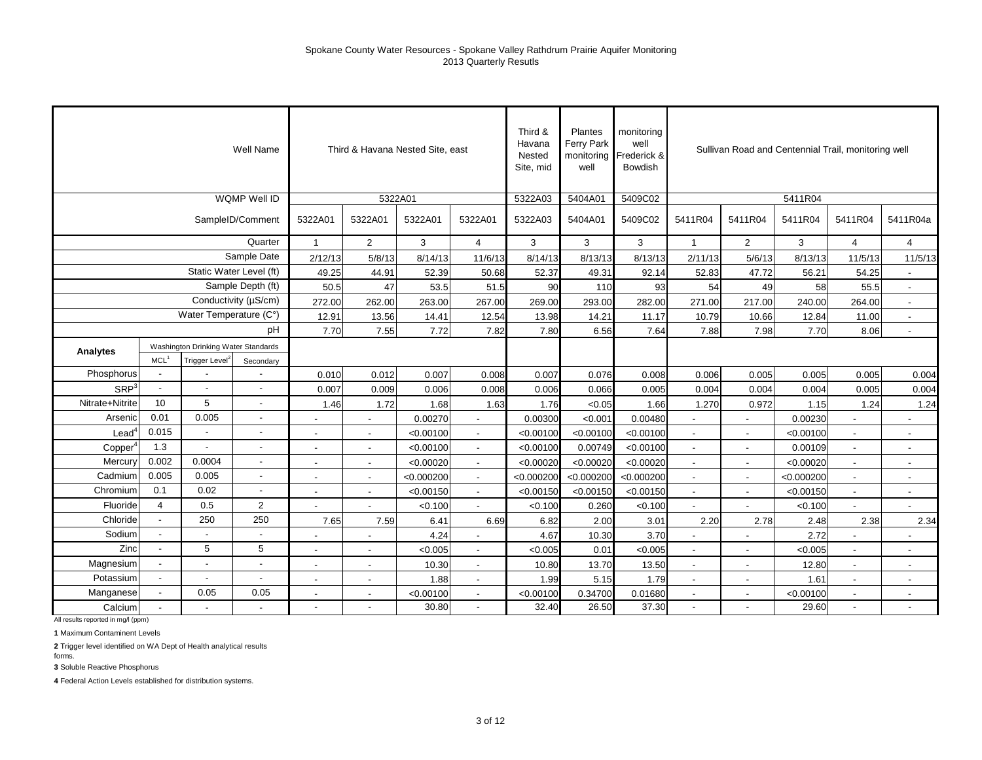|                  |                                     |                            | Well Name            |                          |                          | Third & Havana Nested Site, east |                          | Third &<br>Havana<br>Nested<br>Site, mid | Plantes<br><b>Ferry Park</b><br>monitoring<br>well | monitoring<br>well<br>Frederick &<br><b>Bowdish</b> |                |                          |            | Sullivan Road and Centennial Trail, monitoring well |                             |
|------------------|-------------------------------------|----------------------------|----------------------|--------------------------|--------------------------|----------------------------------|--------------------------|------------------------------------------|----------------------------------------------------|-----------------------------------------------------|----------------|--------------------------|------------|-----------------------------------------------------|-----------------------------|
|                  |                                     |                            | <b>WQMP Well ID</b>  |                          |                          | 5322A01                          |                          | 5322A03                                  | 5404A01                                            | 5409C02                                             |                |                          | 5411R04    |                                                     |                             |
|                  |                                     |                            | SampleID/Comment     | 5322A01                  | 5322A01                  | 5322A01                          | 5322A01                  | 5322A03                                  | 5404A01                                            | 5409C02                                             | 5411R04        | 5411R04                  | 5411R04    | 5411R04                                             | 5411R04a                    |
|                  |                                     |                            | Quarter              | $\mathbf{1}$             | $\overline{2}$           | 3                                | 4                        | 3                                        | 3                                                  | 3                                                   | $\mathbf{1}$   | $\overline{2}$           | 3          | $\overline{4}$                                      | $\overline{4}$              |
|                  |                                     |                            | Sample Date          | 2/12/13                  | 5/8/13                   | 8/14/13                          | 11/6/13                  | 8/14/13                                  | 8/13/13                                            | 8/13/13                                             | 2/11/13        | 5/6/13                   | 8/13/13    | 11/5/13                                             | 11/5/13                     |
|                  |                                     | Static Water Level (ft)    |                      | 49.25                    | 44.91                    | 52.39                            | 50.68                    | 52.37                                    | 49.31                                              | 92.14                                               | 52.83          | 47.72                    | 56.21      | 54.25                                               | $\overline{a}$              |
|                  |                                     |                            | Sample Depth (ft)    | 50.5                     | 47                       | 53.5                             | 51.5                     | 90                                       | 110                                                | 93                                                  | 54             | 49                       | 58         | 55.5                                                | $\mathbf{r}$                |
|                  |                                     |                            | Conductivity (µS/cm) | 272.00                   | 262.00                   | 263.00                           | 267.00                   | 269.00                                   | 293.00                                             | 282.00                                              | 271.00         | 217.00                   | 240.00     | 264.00                                              | $\blacksquare$              |
|                  |                                     | Water Temperature (C°)     |                      | 12.91                    | 13.56                    | 14.41                            | 12.54                    | 13.98                                    | 14.21                                              | 11.17                                               | 10.79          | 10.66                    | 12.84      | 11.00                                               | $\mathcal{L}_{\mathcal{A}}$ |
|                  | Washington Drinking Water Standards |                            |                      | 7.70                     | 7.55                     | 7.72                             | 7.82                     | 7.80                                     | 6.56                                               | 7.64                                                | 7.88           | 7.98                     | 7.70       | 8.06                                                | $\overline{a}$              |
| Analytes         |                                     |                            |                      |                          |                          |                                  |                          |                                          |                                                    |                                                     |                |                          |            |                                                     |                             |
|                  | MCL <sup>1</sup>                    | Trigger Level <sup>2</sup> | Secondary            |                          |                          |                                  |                          |                                          |                                                    |                                                     |                |                          |            |                                                     |                             |
| Phosphorus       | $\overline{a}$                      |                            |                      | 0.010                    | 0.012                    | 0.007                            | 0.008                    | 0.007                                    | 0.076                                              | 0.008                                               | 0.006          | 0.005                    | 0.005      | 0.005                                               | 0.004                       |
| SRP <sup>3</sup> | $\blacksquare$                      | $\overline{a}$             |                      | 0.007                    | 0.009                    | 0.006                            | 0.008                    | 0.006                                    | 0.066                                              | 0.005                                               | 0.004          | 0.004                    | 0.004      | 0.005                                               | 0.004                       |
| Nitrate+Nitrite  | 10                                  | 5                          | $\blacksquare$       | 1.46                     | 1.72                     | 1.68                             | 1.63                     | 1.76                                     | < 0.05                                             | 1.66                                                | 1.270          | 0.972                    | 1.15       | 1.24                                                | 1.24                        |
| Arsenic          | 0.01                                | 0.005                      | ÷,                   | $\overline{\phantom{a}}$ | $\blacksquare$           | 0.00270                          | $\sim$                   | 0.00300                                  | < 0.001                                            | 0.00480                                             | $\blacksquare$ | $\blacksquare$           | 0.00230    |                                                     | $\overline{\phantom{a}}$    |
| $\text{Lead}^4$  | 0.015                               | $\overline{a}$             | $\overline{a}$       | $\overline{\phantom{a}}$ | $\overline{\phantom{a}}$ | < 0.00100                        |                          | < 0.00100                                | < 0.00100                                          | < 0.00100                                           | $\blacksquare$ | $\blacksquare$           | < 0.00100  |                                                     | $\overline{\phantom{a}}$    |
| Copper           | 1.3                                 | $\overline{a}$             | $\overline{a}$       |                          |                          | < 0.00100                        |                          | < 0.00100                                | 0.00749                                            | < 0.00100                                           | $\blacksquare$ | $\overline{\phantom{a}}$ | 0.00109    |                                                     | $\overline{\phantom{a}}$    |
| Mercury          | 0.002                               | 0.0004                     | $\blacksquare$       | $\overline{\phantom{a}}$ | $\overline{\phantom{a}}$ | < 0.00020                        | $\overline{\phantom{a}}$ | < 0.00020                                | < 0.00020                                          | < 0.00020                                           | $\blacksquare$ | $\overline{\phantom{a}}$ | < 0.00020  |                                                     | $\overline{\phantom{a}}$    |
| Cadmium          | 0.005                               | 0.005                      | $\blacksquare$       | $\blacksquare$           | $\overline{\phantom{a}}$ | < 0.000200                       | $\sim$                   | < 0.000200                               | < 0.000200                                         | < 0.000200                                          | $\blacksquare$ | $\overline{\phantom{a}}$ | < 0.000200 |                                                     | $\blacksquare$              |
| Chromium         | 0.1                                 | 0.02                       | L.                   | $\overline{\phantom{a}}$ | $\blacksquare$           | < 0.00150                        | $\sim$                   | < 0.00150                                | < 0.00150                                          | < 0.00150                                           | $\blacksquare$ | $\blacksquare$           | < 0.00150  | $\overline{\phantom{a}}$                            | $\blacksquare$              |
| Fluoride         | 4                                   | 0.5                        | $\overline{2}$       |                          |                          | < 0.100                          |                          | < 0.100                                  | 0.260                                              | < 0.100                                             |                |                          | < 0.100    |                                                     |                             |
| Chloride         | $\blacksquare$                      | 250                        | 250                  | 7.65                     | 7.59                     | 6.41                             | 6.69                     | 6.82                                     | 2.00                                               | 3.01                                                | 2.20           | 2.78                     | 2.48       | 2.38                                                | 2.34                        |
| Sodium           |                                     |                            |                      |                          |                          | 4.24                             |                          | 4.67                                     | 10.30                                              | 3.70                                                |                |                          | 2.72       |                                                     |                             |
| Zinc             | $\overline{a}$                      | 5                          | 5                    |                          |                          | < 0.005                          |                          | < 0.005                                  | 0.01                                               | < 0.005                                             |                |                          | < 0.005    |                                                     |                             |
| Magnesium        | $\overline{\phantom{a}}$            |                            | $\overline{a}$       | $\sim$                   | $\blacksquare$           | 10.30                            | $\sim$                   | 10.80                                    | 13.70                                              | 13.50                                               | $\blacksquare$ | $\overline{\phantom{a}}$ | 12.80      | $\overline{\phantom{a}}$                            | $\overline{\phantom{a}}$    |
| Potassium        | $\overline{\phantom{a}}$            | $\overline{\phantom{a}}$   | $\overline{a}$       | $\blacksquare$           | $\overline{\phantom{a}}$ | 1.88                             |                          | 1.99                                     | 5.15                                               | 1.79                                                | $\blacksquare$ | $\blacksquare$           | 1.61       |                                                     | $\overline{\phantom{a}}$    |
| Manganese        | $\overline{a}$                      | 0.05                       | 0.05                 | $\overline{\phantom{a}}$ | $\blacksquare$           | < 0.00100                        |                          | < 0.00100                                | 0.34700                                            | 0.01680                                             | $\overline{a}$ | $\blacksquare$           | < 0.00100  |                                                     | $\overline{a}$              |
| Calcium          |                                     |                            |                      | $\overline{\phantom{a}}$ |                          | 30.80                            |                          | 32.40                                    | 26.50                                              | 37.30                                               | $\blacksquare$ |                          | 29.60      |                                                     |                             |

All results reported in mg/l (ppm)

**1** Maximum Contaminent Levels

**2** Trigger level identified on WA Dept of Health analytical results

forms. **3** Soluble Reactive Phosphorus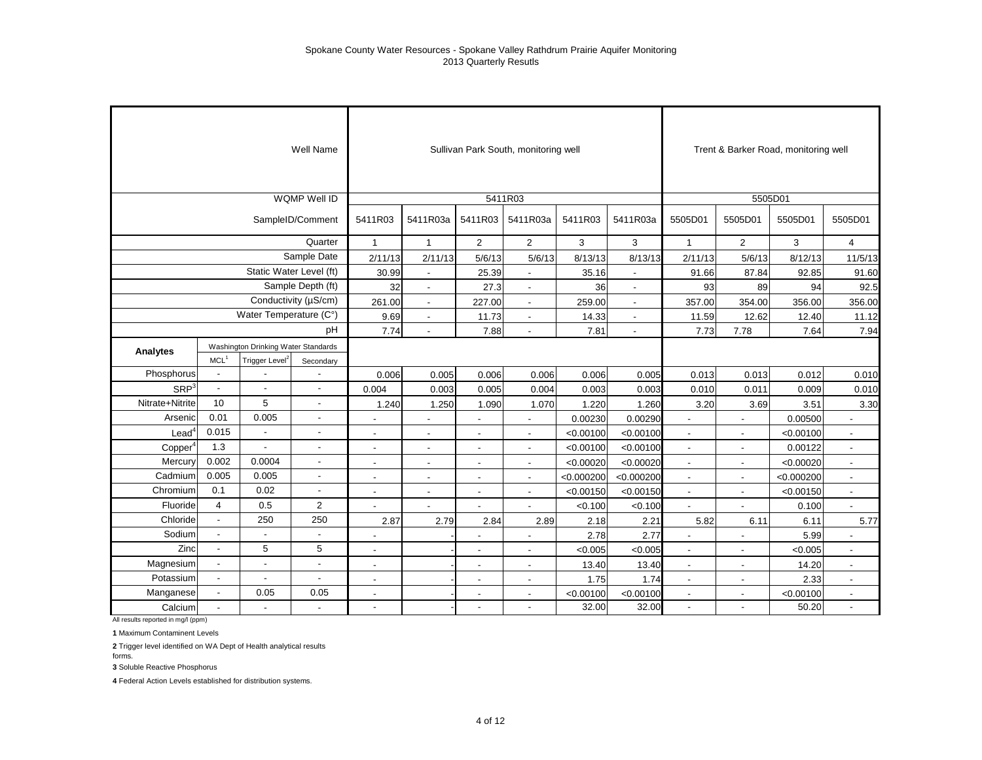|                   |                          |                                     | Well Name                |                          |                          |                          | Sullivan Park South, monitoring well |            |                |                          |                          | Trent & Barker Road, monitoring well |                          |
|-------------------|--------------------------|-------------------------------------|--------------------------|--------------------------|--------------------------|--------------------------|--------------------------------------|------------|----------------|--------------------------|--------------------------|--------------------------------------|--------------------------|
|                   |                          |                                     | <b>WQMP Well ID</b>      |                          |                          |                          | 5411R03                              |            |                |                          | 5505D01                  |                                      |                          |
|                   |                          |                                     | SampleID/Comment         | 5411R03                  | 5411R03a                 | 5411R03                  | 5411R03a                             | 5411R03    | 5411R03a       | 5505D01                  | 5505D01                  | 5505D01                              | 5505D01                  |
|                   |                          |                                     | Quarter                  | $\mathbf{1}$             | $\mathbf{1}$             | 2                        | $\overline{2}$                       | 3          | 3              | $\mathbf{1}$             | $\overline{2}$           | 3                                    | $\overline{4}$           |
|                   |                          |                                     | Sample Date              | 2/11/13                  | 2/11/13                  | 5/6/13                   | 5/6/13                               | 8/13/13    | 8/13/13        | 2/11/13                  | 5/6/13                   | 8/12/13                              | 11/5/13                  |
|                   |                          | Static Water Level (ft)             |                          | 30.99                    | $\blacksquare$           | 25.39                    | ÷,                                   | 35.16      | $\blacksquare$ | 91.66                    | 87.84                    | 92.85                                | 91.60                    |
|                   |                          |                                     | Sample Depth (ft)        | 32                       | $\blacksquare$           | 27.3                     | $\overline{\phantom{a}}$             | 36         | $\blacksquare$ | 93                       | 89                       | 94                                   | 92.5                     |
|                   |                          |                                     | Conductivity (µS/cm)     | 261.00                   | $\overline{a}$           | 227.00                   | $\overline{\phantom{a}}$             | 259.00     | $\blacksquare$ | 357.00                   | 354.00                   | 356.00                               | 356.00                   |
|                   |                          | Water Temperature (C°)              |                          | 9.69                     | $\blacksquare$           | 11.73                    | $\overline{\phantom{a}}$             | 14.33      | $\blacksquare$ | 11.59                    | 12.62                    | 12.40                                | 11.12                    |
|                   |                          |                                     | pH                       | 7.74                     | $\overline{\phantom{a}}$ | 7.88                     | $\blacksquare$                       | 7.81       | $\blacksquare$ | 7.73                     | 7.78                     | 7.64                                 | 7.94                     |
|                   |                          | Washington Drinking Water Standards |                          |                          |                          |                          |                                      |            |                |                          |                          |                                      |                          |
| Analytes          | MCL <sup>1</sup>         | Trigger Level <sup>2</sup>          | Secondary                |                          |                          |                          |                                      |            |                |                          |                          |                                      |                          |
| Phosphorus        | $\overline{\phantom{a}}$ |                                     |                          | 0.006                    | 0.005                    | 0.006                    | 0.006                                | 0.006      | 0.005          | 0.013                    | 0.013                    | 0.012                                | 0.010                    |
| SRP <sup>3</sup>  | $\blacksquare$           | $\blacksquare$                      | $\overline{\phantom{a}}$ | 0.004                    | 0.003                    | 0.005                    | 0.004                                | 0.003      | 0.003          | 0.010                    | 0.011                    | 0.009                                | 0.010                    |
| Nitrate+Nitrite   | 10                       | 5                                   | $\overline{\phantom{a}}$ | 1.240                    | 1.250                    | 1.090                    | 1.070                                | 1.220      | 1.260          | 3.20                     | 3.69                     | 3.51                                 | 3.30                     |
| Arsenic           | 0.01                     | 0.005                               | $\overline{a}$           | $\overline{\phantom{a}}$ | $\overline{\phantom{0}}$ | $\overline{\phantom{a}}$ | ٠                                    | 0.00230    | 0.00290        | $\blacksquare$           | $\blacksquare$           | 0.00500                              |                          |
| Lead <sup>®</sup> | 0.015                    | $\sim$                              | $\overline{a}$           | $\overline{\phantom{a}}$ |                          |                          | $\overline{a}$                       | < 0.00100  | < 0.00100      | $\overline{\phantom{a}}$ |                          | < 0.00100                            |                          |
| Copper            | 1.3                      | $\blacksquare$                      |                          | $\overline{\phantom{a}}$ | $\overline{\phantom{a}}$ | $\overline{\phantom{a}}$ | $\overline{\phantom{a}}$             | < 0.00100  | < 0.00100      | $\overline{\phantom{a}}$ | $\overline{\phantom{a}}$ | 0.00122                              | $\overline{\phantom{a}}$ |
| Mercury           | 0.002                    | 0.0004                              | $\overline{\phantom{a}}$ | $\overline{\phantom{a}}$ | $\overline{\phantom{a}}$ | $\overline{\phantom{a}}$ | $\overline{\phantom{a}}$             | < 0.00020  | < 0.00020      | $\overline{\phantom{a}}$ | $\overline{\phantom{a}}$ | < 0.00020                            | $\blacksquare$           |
| Cadmium           | 0.005                    | 0.005                               | $\overline{\phantom{a}}$ | Ĭ.                       | $\overline{\phantom{a}}$ | $\overline{\phantom{a}}$ | $\overline{a}$                       | < 0.000200 | < 0.000200     | $\overline{a}$           | $\overline{a}$           | < 0.000200                           | ٠                        |
| Chromium          | 0.1                      | 0.02                                | $\blacksquare$           | $\overline{a}$           |                          |                          | $\overline{\phantom{a}}$             | < 0.00150  | < 0.00150      | $\overline{\phantom{a}}$ |                          | < 0.00150                            |                          |
| Fluoride          | $\overline{4}$           | 0.5                                 | $\overline{2}$           | $\overline{a}$           |                          | $\overline{\phantom{a}}$ | $\overline{a}$                       | < 0.100    | < 0.100        | $\overline{a}$           | $\overline{\phantom{a}}$ | 0.100                                | $\overline{a}$           |
| Chloride          | $\overline{a}$           | 250                                 | 250                      | 2.87                     | 2.79                     | 2.84                     | 2.89                                 | 2.18       | 2.21           | 5.82                     | 6.11                     | 6.11                                 | 5.77                     |
| Sodium            |                          |                                     |                          |                          |                          |                          |                                      | 2.78       | 2.77           |                          |                          | 5.99                                 |                          |
| Zinc              |                          | 5                                   | 5                        | $\overline{\phantom{a}}$ |                          | $\overline{\phantom{a}}$ | $\overline{\phantom{a}}$             | < 0.005    | < 0.005        | $\overline{\phantom{a}}$ | $\overline{\phantom{a}}$ | < 0.005                              | $\overline{\phantom{a}}$ |
| Magnesium         | $\overline{\phantom{a}}$ | $\overline{\phantom{a}}$            | $\blacksquare$           | $\blacksquare$           |                          | $\blacksquare$           | $\blacksquare$                       | 13.40      | 13.40          | $\blacksquare$           | $\blacksquare$           | 14.20                                | $\overline{a}$           |
| Potassium         | $\overline{\phantom{a}}$ | $\blacksquare$                      | $\blacksquare$           | $\blacksquare$           |                          |                          | $\blacksquare$                       | 1.75       | 1.74           | $\blacksquare$           | $\blacksquare$           | 2.33                                 | $\frac{1}{2}$            |
| Manganese         | $\overline{\phantom{a}}$ | 0.05                                | 0.05                     | $\sim$                   |                          | $\overline{\phantom{a}}$ | $\blacksquare$                       | < 0.00100  | < 0.00100      | $\blacksquare$           | $\sim$                   | < 0.00100                            | $\blacksquare$           |
| Calcium           |                          |                                     |                          | $\blacksquare$           |                          |                          | ٠                                    | 32.00      | 32.00          | $\overline{\phantom{a}}$ | $\blacksquare$           | 50.20                                | $\blacksquare$           |

All results reported in mg/l (ppm)

 $\sim$ 

**1** Maximum Contaminent Levels

**2** Trigger level identified on WA Dept of Health analytical results

forms. **3** Soluble Reactive Phosphorus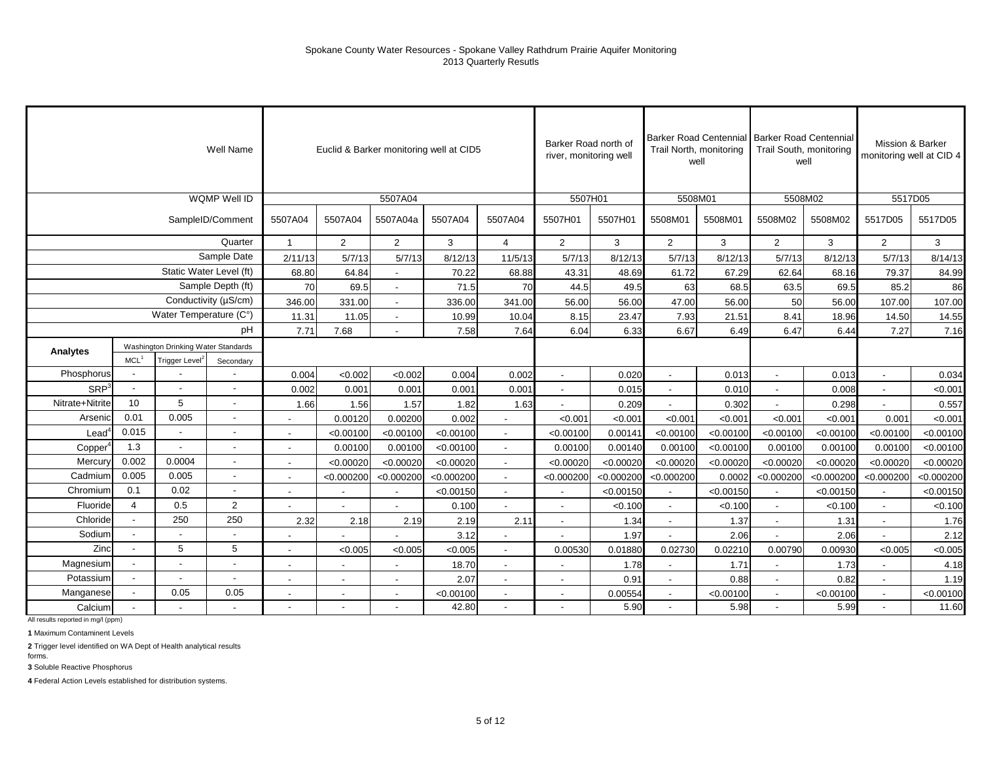|                   |                                                                                                    |                          | Well Name                |                          |                | Euclid & Barker monitoring well at CID5 |            |                          | Barker Road north of<br>river, monitoring well |            | Trail North, monitoring  | well      | Barker Road Centennial Barker Road Centennial<br>Trail South, monitoring<br>well |            |                          | Mission & Barker<br>monitoring well at CID 4 |
|-------------------|----------------------------------------------------------------------------------------------------|--------------------------|--------------------------|--------------------------|----------------|-----------------------------------------|------------|--------------------------|------------------------------------------------|------------|--------------------------|-----------|----------------------------------------------------------------------------------|------------|--------------------------|----------------------------------------------|
|                   |                                                                                                    |                          | WQMP Well ID             |                          |                | 5507A04                                 |            |                          | 5507H01                                        |            | 5508M01                  |           | 5508M02                                                                          |            | 5517D05                  |                                              |
|                   |                                                                                                    |                          | SampleID/Comment         | 5507A04                  | 5507A04        | 5507A04a                                | 5507A04    | 5507A04                  | 5507H01                                        | 5507H01    | 5508M01                  | 5508M01   | 5508M02                                                                          | 5508M02    | 5517D05                  | 5517D05                                      |
|                   |                                                                                                    |                          | Quarter                  | $\mathbf{1}$             | $\overline{2}$ | $\overline{2}$                          | 3          | $\overline{4}$           | $\overline{2}$                                 | 3          | $\overline{2}$           | 3         | 2                                                                                | 3          | $\overline{2}$           | 3                                            |
|                   |                                                                                                    |                          | Sample Date              | 2/11/13                  | 5/7/13         | 5/7/13                                  | 8/12/13    | 11/5/13                  | 5/7/13                                         | 8/12/13    | 5/7/13                   | 8/12/13   | 5/7/13                                                                           | 8/12/13    | 5/7/13                   | 8/14/13                                      |
|                   |                                                                                                    | Static Water Level (ft)  |                          | 68.80                    | 64.84          | $\overline{a}$                          | 70.22      | 68.88                    | 43.31                                          | 48.69      | 61.72                    | 67.29     | 62.64                                                                            | 68.16      | 79.37                    | 84.99                                        |
|                   |                                                                                                    |                          | Sample Depth (ft)        | 70                       | 69.5           | $\overline{a}$                          | 71.5       | 70                       | 44.5                                           | 49.5       | 63                       | 68.5      | 63.5                                                                             | 69.5       | 85.2                     | 86                                           |
|                   |                                                                                                    |                          | Conductivity (µS/cm)     | 346.00                   | 331.00         | $\overline{\phantom{a}}$                | 336.00     | 341.00                   | 56.00                                          | 56.00      | 47.00                    | 56.00     | 50                                                                               | 56.00      | 107.00                   | 107.00                                       |
|                   |                                                                                                    | Water Temperature (C°)   |                          | 11.31                    | 11.05          |                                         | 10.99      | 10.04                    | 8.15                                           | 23.47      | 7.93                     | 21.51     | 8.41                                                                             | 18.96      | 14.50                    | 14.55                                        |
|                   |                                                                                                    |                          | pH                       | 7.71                     | 7.68           |                                         | 7.58       | 7.64                     | 6.04                                           | 6.33       | 6.67                     | 6.49      | 6.47                                                                             | 6.44       | 7.27                     | 7.16                                         |
| Analytes          | Washington Drinking Water Standards<br>MCL <sup>1</sup><br>Trigger Level <sup>*</sup><br>Secondary |                          |                          |                          |                |                                         |            |                          |                                                |            |                          |           |                                                                                  |            |                          |                                              |
|                   |                                                                                                    |                          |                          |                          |                |                                         |            |                          |                                                |            |                          |           |                                                                                  |            |                          |                                              |
| Phosphorus        |                                                                                                    |                          |                          | 0.004                    | < 0.002        | < 0.002                                 | 0.004      | 0.002                    | $\overline{a}$                                 | 0.020      | $\overline{a}$           | 0.013     | $\overline{a}$                                                                   | 0.013      | $\blacksquare$           | 0.034                                        |
| SRP <sup>3</sup>  |                                                                                                    |                          |                          | 0.002                    | 0.001          | 0.001                                   | 0.001      | 0.001                    |                                                | 0.015      |                          | 0.010     | $\overline{\phantom{a}}$                                                         | 0.008      | $\overline{\phantom{a}}$ | < 0.001                                      |
| Nitrate+Nitrite   | 10                                                                                                 | 5                        |                          | 1.66                     | 1.56           | 1.57                                    | 1.82       | 1.63                     |                                                | 0.209      |                          | 0.302     |                                                                                  | 0.298      | $\blacksquare$           | 0.557                                        |
| Arsenic           | 0.01                                                                                               | 0.005                    |                          |                          | 0.00120        | 0.00200                                 | 0.002      |                          | < 0.001                                        | < 0.001    | < 0.001                  | < 0.001   | < 0.001                                                                          | < 0.001    | 0.001                    | < 0.001                                      |
| $\textsf{lead}^4$ | 0.015                                                                                              |                          |                          |                          | < 0.00100      | < 0.00100                               | < 0.00100  |                          | < 0.00100                                      | 0.00141    | < 0.00100                | < 0.00100 | < 0.00100                                                                        | < 0.00100  | < 0.00100                | < 0.00100                                    |
| Copper            | 1.3                                                                                                | $\overline{\phantom{a}}$ | $\overline{\phantom{a}}$ | $\overline{\phantom{a}}$ | 0.00100        | 0.00100                                 | < 0.00100  | $\sim$                   | 0.00100                                        | 0.00140    | 0.00100                  | < 0.00100 | 0.00100                                                                          | 0.00100    | 0.00100                  | < 0.00100                                    |
| Mercury           | 0.002                                                                                              | 0.0004                   |                          | $\blacksquare$           | < 0.00020      | < 0.00020                               | < 0.00020  | $\mathbf{r}$             | < 0.00020                                      | < 0.00020  | < 0.00020                | < 0.00020 | < 0.00020                                                                        | < 0.00020  | < 0.00020                | < 0.00020                                    |
| Cadmium           | 0.005                                                                                              | 0.005                    |                          | $\overline{a}$           | < 0.000200     | < 0.000200                              | < 0.000200 | $\sim$                   | < 0.000200                                     | < 0.000200 | < 0.000200               | 0.0002    | < 0.000200                                                                       | < 0.000200 | < 0.000200               | < 0.000200                                   |
| Chromium          | 0.1                                                                                                | 0.02                     | $\overline{\phantom{a}}$ | $\frac{1}{2}$            |                |                                         | < 0.00150  |                          |                                                | < 0.00150  | $\overline{\phantom{a}}$ | < 0.00150 | $\overline{\phantom{a}}$                                                         | < 0.00150  | $\sim$                   | < 0.00150                                    |
| Fluoride          | $\overline{4}$                                                                                     | 0.5                      | $\overline{2}$           |                          |                |                                         | 0.100      | $\sim$                   |                                                | < 0.100    | $\sim$                   | < 0.100   | $\blacksquare$                                                                   | < 0.100    | $\overline{\phantom{a}}$ | < 0.100                                      |
| Chloride          |                                                                                                    | 250                      | 250                      | 2.32                     | 2.18           | 2.19                                    | 2.19       | 2.11                     |                                                | 1.34       | L,                       | 1.37      |                                                                                  | 1.31       | $\blacksquare$           | 1.76                                         |
| Sodium            |                                                                                                    |                          |                          |                          |                |                                         | 3.12       |                          |                                                | 1.97       |                          | 2.06      |                                                                                  | 2.06       |                          | 2.12                                         |
| Zinc              |                                                                                                    | 5                        | 5                        | $\overline{\phantom{a}}$ | < 0.005        | < 0.005                                 | < 0.005    | $\overline{\phantom{a}}$ | 0.00530                                        | 0.01880    | 0.02730                  | 0.02210   | 0.00790                                                                          | 0.00930    | < 0.005                  | <0.005                                       |
| Magnesium         |                                                                                                    | $\blacksquare$           |                          | ٠                        | $\blacksquare$ | $\blacksquare$                          | 18.70      | $\sim$                   |                                                | 1.78       | $\blacksquare$           | 1.71      | $\overline{\phantom{a}}$                                                         | 1.73       | $\blacksquare$           | 4.18                                         |
| Potassium         |                                                                                                    | $\blacksquare$           | $\overline{\phantom{a}}$ | $\overline{\phantom{a}}$ | $\sim$         | $\blacksquare$                          | 2.07       | $\mathbf{r}$             |                                                | 0.91       | $\blacksquare$           | 0.88      | $\blacksquare$                                                                   | 0.82       | $\blacksquare$           | 1.19                                         |
| Manganese         |                                                                                                    | 0.05                     | 0.05                     | ٠                        | $\blacksquare$ | $\blacksquare$                          | < 0.00100  | $\overline{\phantom{a}}$ |                                                | 0.00554    | $\blacksquare$           | < 0.00100 | $\blacksquare$                                                                   | < 0.00100  | $\sim$                   | < 0.00100                                    |
| Calcium           |                                                                                                    |                          |                          |                          |                |                                         | 42.80      |                          |                                                | 5.90       |                          | 5.98      |                                                                                  | 5.99       |                          | 11.60                                        |

All results reported in mg/l (ppm)

**1** Maximum Contaminent Levels

**2** Trigger level identified on WA Dept of Health analytical results

forms. **3** Soluble Reactive Phosphorus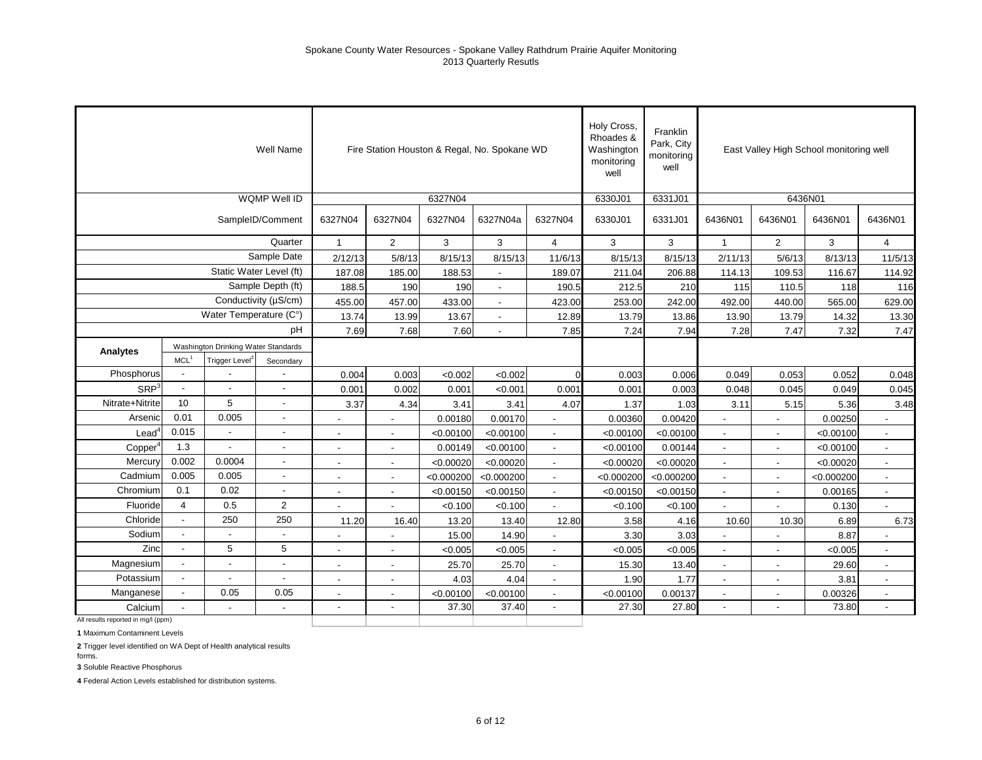|                                    |                          |                                     | Well Name                |                          |                          | Fire Station Houston & Regal, No. Spokane WD |                          |                          | Holy Cross,<br>Rhoades &<br>Washington<br>monitoring<br>well | Franklin<br>Park, City<br>monitoring<br>well |                          | East Valley High School monitoring well |            |                          |
|------------------------------------|--------------------------|-------------------------------------|--------------------------|--------------------------|--------------------------|----------------------------------------------|--------------------------|--------------------------|--------------------------------------------------------------|----------------------------------------------|--------------------------|-----------------------------------------|------------|--------------------------|
|                                    |                          |                                     | WQMP Well ID             |                          |                          | 6327N04                                      |                          |                          | 6330J01                                                      | 6331J01                                      |                          | 6436N01                                 |            |                          |
|                                    |                          |                                     | SampleID/Comment         | 6327N04                  | 6327N04                  | 6327N04                                      | 6327N04a                 | 6327N04                  | 6330J01                                                      | 6331J01                                      | 6436N01                  | 6436N01                                 | 6436N01    | 6436N01                  |
|                                    |                          |                                     | Quarter                  | $\overline{1}$           | $\overline{2}$           | 3                                            | 3                        | $\overline{4}$           | 3                                                            | 3                                            | $\mathbf{1}$             | 2                                       | 3          | $\overline{4}$           |
|                                    |                          |                                     | Sample Date              | 2/12/13                  | 5/8/13                   | 8/15/13                                      | 8/15/13                  | 11/6/13                  | 8/15/13                                                      | 8/15/13                                      | 2/11/13                  | 5/6/13                                  | 8/13/13    | 11/5/13                  |
|                                    |                          |                                     | Static Water Level (ft)  | 187.08                   | 185.00                   | 188.53                                       |                          | 189.07                   | 211.04                                                       | 206.88                                       | 114.13                   | 109.53                                  | 116.67     | 114.92                   |
|                                    |                          |                                     | Sample Depth (ft)        | 188.5                    | 190                      | 190                                          |                          | 190.5                    | 212.5                                                        | 210                                          | 115                      | 110.5                                   | 118        | 116                      |
|                                    |                          |                                     | Conductivity (µS/cm)     | 455.00                   | 457.00                   | 433.00                                       |                          | 423.00                   | 253.00                                                       | 242.00                                       | 492.00                   | 440.00                                  | 565.00     | 629.00                   |
|                                    |                          | Water Temperature (C°)              |                          | 13.74                    | 13.99                    | 13.67                                        |                          | 12.89                    | 13.79                                                        | 13.86                                        | 13.90                    | 13.79                                   | 14.32      | 13.30                    |
|                                    |                          |                                     | pH                       | 7.69                     | 7.68                     | 7.60                                         | $\overline{\phantom{a}}$ | 7.85                     | 7.24                                                         | 7.94                                         | 7.28                     | 7.47                                    | 7.32       | 7.47                     |
| Analytes                           |                          | Washington Drinking Water Standards |                          |                          |                          |                                              |                          |                          |                                                              |                                              |                          |                                         |            |                          |
|                                    | MCL <sup>1</sup>         | Trigger Level <sup>2</sup>          | Secondary                |                          |                          |                                              |                          |                          |                                                              |                                              |                          |                                         |            |                          |
| Phosphorus                         | $\sim$                   |                                     |                          | 0.004                    | 0.003                    | < 0.002                                      | <0.002                   | $\Omega$                 | 0.003                                                        | 0.006                                        | 0.049                    | 0.053                                   | 0.052      | 0.048                    |
| SRP <sup>3</sup>                   | $\overline{\phantom{a}}$ |                                     |                          | 0.001                    | 0.002                    | 0.001                                        | < 0.001                  | 0.001                    | 0.001                                                        | 0.003                                        | 0.048                    | 0.045                                   | 0.049      | 0.045                    |
| Nitrate+Nitrite                    | 10                       | 5                                   | $\sim$                   | 3.37                     | 4.34                     | 3.41                                         | 3.41                     | 4.07                     | 1.37                                                         | 1.03                                         | 3.11                     | 5.15                                    | 5.36       | 3.48                     |
| Arsenic                            | 0.01                     | 0.005                               |                          | $\blacksquare$           | $\overline{a}$           | 0.00180                                      | 0.00170                  | $\blacksquare$           | 0.00360                                                      | 0.00420                                      | $\overline{a}$           | $\blacksquare$                          | 0.00250    | $\blacksquare$           |
| $\text{Lead}^4$                    | 0.015                    |                                     | $\overline{\phantom{a}}$ | $\overline{a}$           |                          | < 0.00100                                    | < 0.00100                | $\sim$                   | < 0.00100                                                    | < 0.00100                                    | $\overline{a}$           | $\blacksquare$                          | < 0.00100  | $\blacksquare$           |
| Copper                             | 1.3                      |                                     | $\overline{a}$           |                          |                          | 0.00149                                      | < 0.00100                | $\overline{a}$           | < 0.00100                                                    | 0.00144                                      |                          | ÷,                                      | < 0.00100  | $\overline{a}$           |
| Mercury                            | 0.002                    | 0.0004                              |                          | $\overline{\phantom{a}}$ |                          | < 0.00020                                    | < 0.00020                |                          | < 0.00020                                                    | < 0.00020                                    |                          | $\ddot{\phantom{a}}$                    | < 0.00020  | $\overline{a}$           |
| Cadmium                            | 0.005                    | 0.005                               |                          | $\blacksquare$           | $\blacksquare$           | < 0.000200                                   | < 0.000200               | $\blacksquare$           | < 0.000200                                                   | < 0.000200                                   | $\overline{\phantom{a}}$ | $\blacksquare$                          | < 0.000200 | $\blacksquare$           |
| Chromium                           | 0.1                      | 0.02                                | $\overline{\phantom{a}}$ | $\overline{\phantom{a}}$ | $\overline{\phantom{a}}$ | < 0.00150                                    | < 0.00150                | $\overline{\phantom{a}}$ | < 0.00150                                                    | < 0.00150                                    | $\overline{\phantom{a}}$ | $\overline{\phantom{a}}$                | 0.00165    | $\overline{\phantom{a}}$ |
| Fluoride                           | $\overline{4}$           | 0.5                                 | 2                        |                          | $\blacksquare$           | < 0.100                                      | < 0.100                  | $\overline{a}$           | < 0.100                                                      | < 0.100                                      | $\overline{\phantom{a}}$ | $\overline{\phantom{a}}$                | 0.130      | $\overline{\phantom{a}}$ |
| Chloride                           | $\overline{\phantom{a}}$ | 250                                 | 250                      | 11.20                    | 16.40                    | 13.20                                        | 13.40                    | 12.80                    | 3.58                                                         | 4.16                                         | 10.60                    | 10.30                                   | 6.89       | 6.73                     |
| Sodium                             | $\overline{a}$           |                                     |                          |                          |                          | 15.00                                        | 14.90                    |                          | 3.30                                                         | 3.03                                         |                          | ÷,                                      | 8.87       |                          |
| Zinc                               | $\overline{\phantom{a}}$ | 5                                   | 5                        | $\blacksquare$           | $\blacksquare$           | < 0.005                                      | < 0.005                  | $\overline{\phantom{a}}$ | < 0.005                                                      | < 0.005                                      | $\overline{\phantom{a}}$ | $\blacksquare$                          | < 0.005    | ÷.                       |
| Magnesium                          | $\blacksquare$           |                                     | $\blacksquare$           | $\overline{a}$           | $\overline{a}$           | 25.70                                        | 25.70                    | $\overline{a}$           | 15.30                                                        | 13.40                                        | $\overline{\phantom{a}}$ | $\sim$                                  | 29.60      | $\sim$                   |
| Potassium                          | $\blacksquare$           |                                     |                          | $\blacksquare$           | $\overline{\phantom{a}}$ | 4.03                                         | 4.04                     | $\overline{\phantom{a}}$ | 1.90                                                         | 1.77                                         | $\overline{\phantom{a}}$ | $\blacksquare$                          | 3.81       | $\blacksquare$           |
| Manganese                          | $\overline{\phantom{a}}$ | 0.05                                | 0.05                     | $\blacksquare$           | $\blacksquare$           | < 0.00100                                    | < 0.00100                |                          | < 0.00100                                                    | 0.00137                                      |                          | $\overline{a}$                          | 0.00326    | $\blacksquare$           |
| Calcium                            |                          |                                     |                          | $\overline{\phantom{a}}$ | $\overline{a}$           | 37.30                                        | 37.40                    | $\overline{a}$           | 27.30                                                        | 27.80                                        | $\overline{a}$           | $\overline{\phantom{a}}$                | 73.80      | $\overline{a}$           |
| All results reported in mg/l (ppm) |                          |                                     |                          |                          |                          |                                              |                          |                          |                                                              |                                              |                          |                                         |            |                          |

**1** Maximum Contaminent Levels

**2** Trigger level identified on WA Dept of Health analytical results

**3** Soluble Reactive Phosphorus

forms.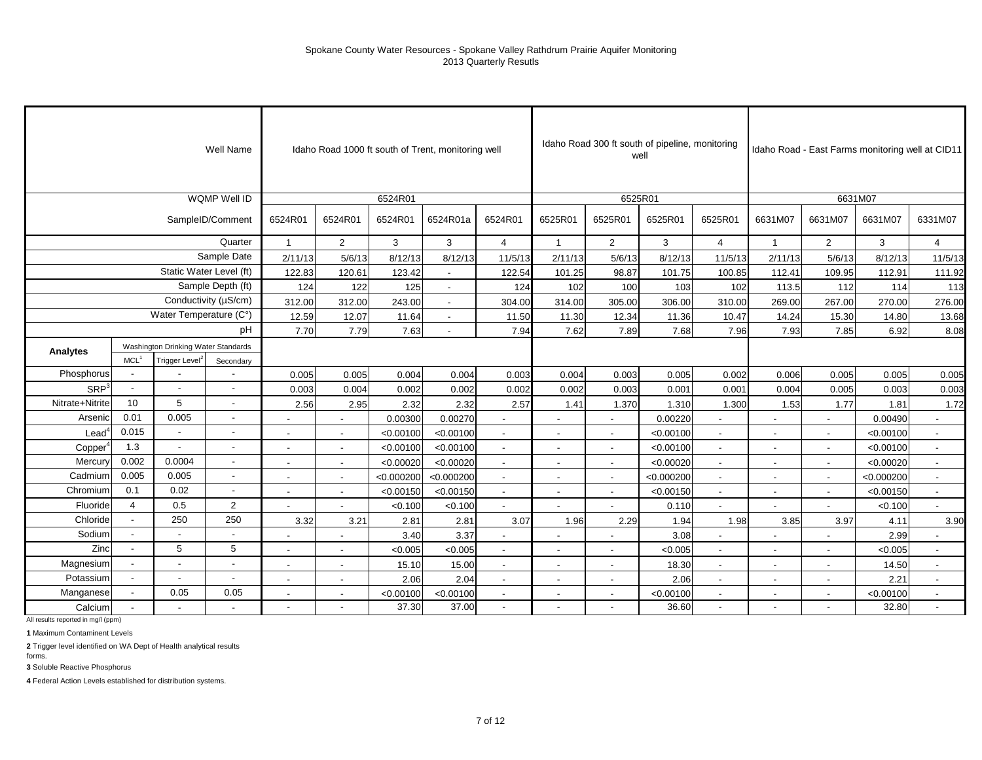|                     |                          |                                     | Well Name                |                          |                          |            | Idaho Road 1000 ft south of Trent, monitoring well |                          |                          |                          | Idaho Road 300 ft south of pipeline, monitoring<br>well |                          |                          |                          | Idaho Road - East Farms monitoring well at CID11 |                          |
|---------------------|--------------------------|-------------------------------------|--------------------------|--------------------------|--------------------------|------------|----------------------------------------------------|--------------------------|--------------------------|--------------------------|---------------------------------------------------------|--------------------------|--------------------------|--------------------------|--------------------------------------------------|--------------------------|
|                     |                          |                                     | WQMP Well ID             |                          |                          | 6524R01    |                                                    |                          |                          | 6525R01                  |                                                         |                          |                          |                          | 6631M07                                          |                          |
|                     |                          |                                     | SampleID/Comment         | 6524R01                  | 6524R01                  | 6524R01    | 6524R01a                                           | 6524R01                  | 6525R01                  | 6525R01                  | 6525R01                                                 | 6525R01                  | 6631M07                  | 6631M07                  | 6631M07                                          | 6331M07                  |
|                     |                          |                                     | Quarter                  | $\mathbf{1}$             | 2                        | 3          | 3                                                  | $\overline{4}$           | $\overline{1}$           | $\overline{2}$           | 3                                                       | $\overline{4}$           | $\overline{1}$           | $\overline{2}$           | 3                                                | $\overline{4}$           |
|                     |                          |                                     | Sample Date              | 2/11/13                  | 5/6/13                   | 8/12/13    | 8/12/13                                            | 11/5/13                  | 2/11/13                  | 5/6/13                   | 8/12/13                                                 | 11/5/13                  | 2/11/13                  | 5/6/13                   | 8/12/13                                          | 11/5/13                  |
|                     |                          |                                     | Static Water Level (ft)  | 122.83                   | 120.61                   | 123.42     |                                                    | 122.54                   | 101.25                   | 98.87                    | 101.75                                                  | 100.85                   | 112.41                   | 109.95                   | 112.91                                           | 111.92                   |
|                     |                          |                                     | Sample Depth (ft)        | 124                      | 122                      | 125        | $\overline{\phantom{a}}$                           | 124                      | 102                      | 100                      | 103                                                     | 102                      | 113.5                    | 112                      | 114                                              | 113                      |
|                     |                          |                                     | Conductivity (µS/cm)     | 312.00                   | 312.00                   | 243.00     |                                                    | 304.00                   | 314.00                   | 305.00                   | 306.00                                                  | 310.00                   | 269.00                   | 267.00                   | 270.00                                           | 276.00                   |
|                     |                          | Water Temperature (C°)              |                          | 12.59                    | 12.07                    | 11.64      | $\overline{\phantom{a}}$                           | 11.50                    | 11.30                    | 12.34                    | 11.36                                                   | 10.47                    | 14.24                    | 15.30                    | 14.80                                            | 13.68                    |
|                     |                          |                                     | pH                       | 7.70                     | 7.79                     | 7.63       |                                                    | 7.94                     | 7.62                     | 7.89                     | 7.68                                                    | 7.96                     | 7.93                     | 7.85                     | 6.92                                             | 8.08                     |
|                     |                          | Washington Drinking Water Standards |                          |                          |                          |            |                                                    |                          |                          |                          |                                                         |                          |                          |                          |                                                  |                          |
| Analytes            | MCL <sup>1</sup>         | Trigger Level <sup>:</sup>          | Secondary                |                          |                          |            |                                                    |                          |                          |                          |                                                         |                          |                          |                          |                                                  |                          |
| Phosphorus          | $\overline{\phantom{a}}$ |                                     |                          | 0.005                    | 0.005                    | 0.004      | 0.004                                              | 0.003                    | 0.004                    | 0.003                    | 0.005                                                   | 0.002                    | 0.006                    | 0.005                    | 0.005                                            | 0.005                    |
| SRP <sup>3</sup>    | ÷,                       | $\overline{\phantom{a}}$            | Ĭ.                       | 0.003                    | 0.004                    | 0.002      | 0.002                                              | 0.002                    | 0.002                    | 0.003                    | 0.001                                                   | 0.001                    | 0.004                    | 0.005                    | 0.003                                            | 0.003                    |
| Nitrate+Nitrite     | 10                       | 5                                   | $\overline{\phantom{a}}$ | 2.56                     | 2.95                     | 2.32       | 2.32                                               | 2.57                     | 1.41                     | 1.370                    | 1.310                                                   | 1.300                    | 1.53                     | 1.77                     | 1.81                                             | 1.72                     |
| Arsenic             | 0.01                     | 0.005                               | $\overline{\phantom{a}}$ |                          |                          | 0.00300    | 0.00270                                            | $\overline{\phantom{a}}$ |                          | $\blacksquare$           | 0.00220                                                 | $\blacksquare$           | $\blacksquare$           | $\overline{a}$           | 0.00490                                          | $\sim$                   |
| Lead <sup>4</sup>   | 0.015                    | $\overline{a}$                      | $\overline{a}$           |                          |                          | < 0.00100  | < 0.00100                                          | $\blacksquare$           | $\overline{\phantom{a}}$ | $\blacksquare$           | < 0.00100                                               |                          | $\overline{\phantom{a}}$ |                          | < 0.00100                                        | $\blacksquare$           |
| Copper <sup>4</sup> | 1.3                      | $\overline{a}$                      |                          |                          |                          | < 0.00100  | < 0.00100                                          | $\blacksquare$           | $\overline{\phantom{a}}$ | $\blacksquare$           | < 0.00100                                               | $\overline{\phantom{a}}$ | $\blacksquare$           |                          | < 0.00100                                        | $\blacksquare$           |
| Mercury             | 0.002                    | 0.0004                              | $\blacksquare$           | $\overline{\phantom{a}}$ | $\sim$                   | < 0.00020  | < 0.00020                                          | $\sim$                   | $\sim$                   | $\sim$                   | < 0.00020                                               | $\sim$                   | $\overline{\phantom{a}}$ | $\overline{\phantom{a}}$ | < 0.00020                                        | $\overline{\phantom{a}}$ |
| Cadmium             | 0.005                    | 0.005                               | $\overline{a}$           |                          | $\sim$                   | < 0.000200 | < 0.000200                                         | $\overline{a}$           | $\sim$                   | $\overline{\phantom{a}}$ | < 0.000200                                              | $\overline{\phantom{a}}$ | $\blacksquare$           | $\overline{\phantom{a}}$ | < 0.000200                                       | $\mathbf{r}$             |
| Chromium            | 0.1                      | 0.02                                | $\overline{\phantom{a}}$ |                          |                          | < 0.00150  | < 0.00150                                          | $\blacksquare$           | $\blacksquare$           | $\blacksquare$           | < 0.00150                                               | $\blacksquare$           | $\blacksquare$           | $\blacksquare$           | < 0.00150                                        | $\blacksquare$           |
| Fluoride            | $\overline{4}$           | 0.5                                 | $\overline{2}$           |                          |                          | < 0.100    | < 0.100                                            | $\blacksquare$           |                          |                          | 0.110                                                   |                          | $\blacksquare$           | $\blacksquare$           | < 0.100                                          |                          |
| Chloride            | $\blacksquare$           | 250                                 | 250                      | 3.32                     | 3.21                     | 2.81       | 2.81                                               | 3.07                     | 1.96                     | 2.29                     | 1.94                                                    | 1.98                     | 3.85                     | 3.97                     | 4.11                                             | 3.90                     |
| Sodium              | ÷,                       | $\overline{\phantom{a}}$            |                          |                          |                          | 3.40       | 3.37                                               |                          |                          |                          | 3.08                                                    |                          | $\blacksquare$           |                          | 2.99                                             |                          |
| Zinc                | $\overline{\phantom{a}}$ | 5                                   | 5                        |                          |                          | < 0.005    | < 0.005                                            | $\blacksquare$           | $\overline{\phantom{a}}$ | $\blacksquare$           | < 0.005                                                 | $\overline{\phantom{a}}$ | $\overline{\phantom{a}}$ |                          | < 0.005                                          | $\blacksquare$           |
| Magnesium           |                          | $\overline{\phantom{a}}$            | $\overline{\phantom{a}}$ | $\sim$                   | $\overline{a}$           | 15.10      | 15.00                                              | $\blacksquare$           | $\sim$                   | $\blacksquare$           | 18.30                                                   | $\sim$                   | $\blacksquare$           | $\overline{\phantom{a}}$ | 14.50                                            | $\sim$                   |
| Potassium           | $\overline{\phantom{a}}$ | $\blacksquare$                      | Ĭ.                       |                          | $\overline{\phantom{a}}$ | 2.06       | 2.04                                               | $\blacksquare$           | $\blacksquare$           | $\overline{\phantom{a}}$ | 2.06                                                    | $\sim$                   | $\blacksquare$           | $\overline{\phantom{a}}$ | 2.21                                             | $\mathbf{r}$             |
| Manganese           | $\overline{\phantom{a}}$ | 0.05                                | 0.05                     |                          |                          | < 0.00100  | < 0.00100                                          | $\overline{a}$           | $\overline{\phantom{a}}$ | $\blacksquare$           | < 0.00100                                               | $\overline{\phantom{a}}$ | $\overline{\phantom{a}}$ |                          | < 0.00100                                        | $\mathbf{r}$             |
| Calcium             |                          |                                     |                          |                          |                          | 37.30      | 37.00                                              | $\blacksquare$           |                          |                          | 36.60                                                   | $\overline{a}$           |                          |                          | 32.80                                            | $\mathbf{r}$             |

All results reported in mg/l (ppm)

**1** Maximum Contaminent Levels

**2** Trigger level identified on WA Dept of Health analytical results

forms. **3** Soluble Reactive Phosphorus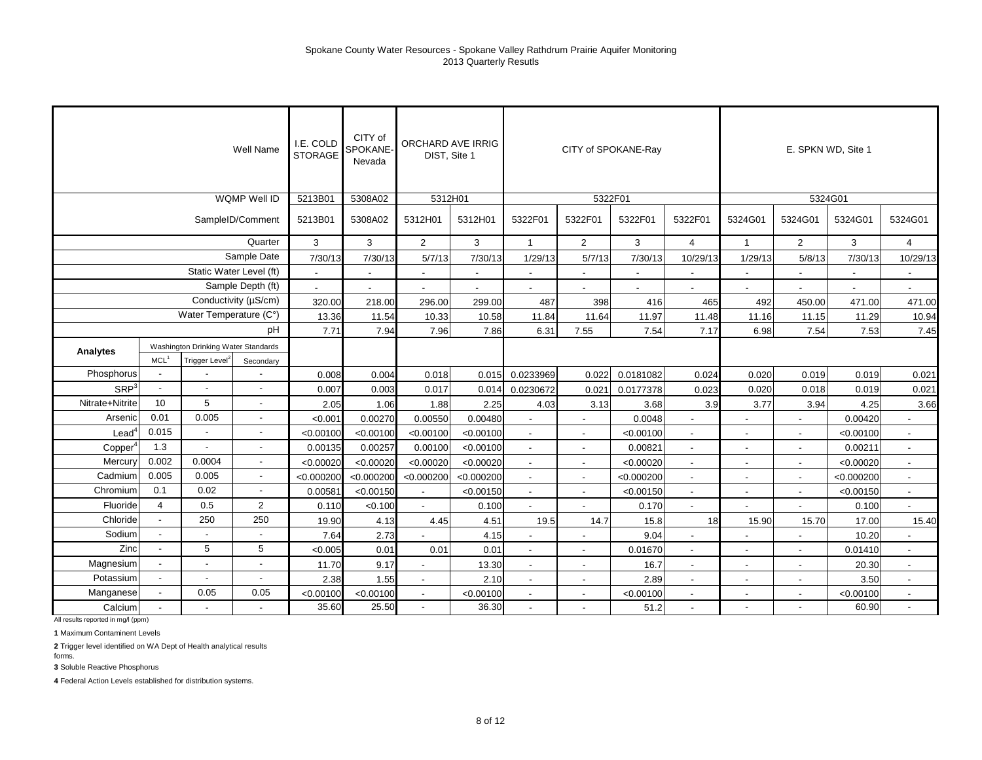|                   |                                                                                                    |                          | Well Name                | I.E. COLD<br><b>STORAGE</b> | CITY of<br>SPOKANE-<br>Nevada | ORCHARD AVE IRRIG<br>DIST, Site 1 |            |                          |                          | CITY of SPOKANE-Ray      |                          |                          |                          | E. SPKN WD, Site 1 |                          |
|-------------------|----------------------------------------------------------------------------------------------------|--------------------------|--------------------------|-----------------------------|-------------------------------|-----------------------------------|------------|--------------------------|--------------------------|--------------------------|--------------------------|--------------------------|--------------------------|--------------------|--------------------------|
|                   |                                                                                                    |                          | <b>WQMP Well ID</b>      | 5213B01                     | 5308A02                       | 5312H01                           |            |                          |                          | 5322F01                  |                          |                          |                          | 5324G01            |                          |
|                   |                                                                                                    |                          | SampleID/Comment         | 5213B01                     | 5308A02                       | 5312H01                           | 5312H01    | 5322F01                  | 5322F01                  | 5322F01                  | 5322F01                  | 5324G01                  | 5324G01                  | 5324G01            | 5324G01                  |
|                   |                                                                                                    |                          | Quarter                  | 3                           | 3                             | $\overline{2}$                    | 3          | $\mathbf{1}$             | $\overline{2}$           | 3                        | $\overline{4}$           | $\overline{1}$           | $\overline{2}$           | 3                  | $\overline{4}$           |
|                   |                                                                                                    |                          | Sample Date              | 7/30/13                     | 7/30/13                       | 5/7/13                            | 7/30/13    | 1/29/13                  | 5/7/13                   | 7/30/13                  | 10/29/13                 | 1/29/13                  | 5/8/13                   | 7/30/13            | 10/29/13                 |
|                   |                                                                                                    |                          | Static Water Level (ft)  | $\blacksquare$              | $\blacksquare$                | $\blacksquare$                    |            | $\blacksquare$           |                          | $\sim$                   |                          |                          | $\blacksquare$           |                    | $\blacksquare$           |
|                   |                                                                                                    |                          | Sample Depth (ft)        | $\overline{a}$              |                               |                                   |            | $\blacksquare$           |                          | $\overline{\phantom{a}}$ | $\blacksquare$           |                          |                          |                    | $\overline{\phantom{0}}$ |
|                   |                                                                                                    |                          | Conductivity (µS/cm)     | 320.00                      | 218.00                        | 296.00                            | 299.00     | 487                      | 398                      | 416                      | 465                      | 492                      | 450.00                   | 471.00             | 471.00                   |
|                   |                                                                                                    | Water Temperature (C°)   |                          | 13.36                       | 11.54                         | 10.33                             | 10.58      | 11.84                    | 11.64                    | 11.97                    | 11.48                    | 11.16                    | 11.15                    | 11.29              | 10.94                    |
|                   | pH                                                                                                 |                          |                          | 7.71                        | 7.94                          | 7.96                              | 7.86       | 6.31                     | 7.55                     | 7.54                     | 7.17                     | 6.98                     | 7.54                     | 7.53               | 7.45                     |
| Analytes          |                                                                                                    |                          |                          |                             |                               |                                   |            |                          |                          |                          |                          |                          |                          |                    |                          |
|                   | Washington Drinking Water Standards<br>MCL <sup>1</sup><br>Trigger Level <sup>2</sup><br>Secondary |                          |                          |                             |                               |                                   |            |                          |                          |                          |                          |                          |                          |                    |                          |
| Phosphorus        |                                                                                                    |                          |                          | 0.008                       | 0.004                         | 0.018                             | 0.015      | 0.0233969                | 0.022                    | 0.0181082                | 0.024                    | 0.020                    | 0.019                    | 0.019              | 0.021                    |
| SRP <sup>3</sup>  | $\sim$                                                                                             | $\overline{a}$           |                          | 0.007                       | 0.003                         | 0.017                             | 0.014      | 0.0230672                | 0.021                    | 0.0177378                | 0.023                    | 0.020                    | 0.018                    | 0.019              | 0.021                    |
| Nitrate+Nitrite   | 10                                                                                                 | 5                        | $\blacksquare$           | 2.05                        | 1.06                          | 1.88                              | 2.25       | 4.03                     | 3.13                     | 3.68                     | 3.9                      | 3.77                     | 3.94                     | 4.25               | 3.66                     |
| Arsenic           | 0.01                                                                                               | 0.005                    | $\blacksquare$           | < 0.001                     | 0.00270                       | 0.00550                           | 0.00480    |                          |                          | 0.0048                   | $\overline{a}$           | $\overline{\phantom{a}}$ |                          | 0.00420            | $\overline{a}$           |
| $\textsf{Lead}^4$ | 0.015                                                                                              |                          |                          | < 0.00100                   | < 0.00100                     | < 0.00100                         | < 0.00100  | $\overline{\phantom{a}}$ |                          | < 0.00100                | $\overline{a}$           | $\overline{\phantom{a}}$ | $\overline{\phantom{a}}$ | < 0.00100          | $\overline{a}$           |
| Copper            | 1.3                                                                                                | $\overline{\phantom{a}}$ |                          | 0.00135                     | 0.00257                       | 0.00100                           | < 0.00100  | $\blacksquare$           |                          | 0.00821                  | $\blacksquare$           | $\blacksquare$           |                          | 0.00211            | $\blacksquare$           |
| Mercury           | 0.002                                                                                              | 0.0004                   |                          | < 0.00020                   | < 0.00020                     | < 0.00020                         | < 0.00020  | $\overline{\phantom{a}}$ | $\overline{\phantom{a}}$ | < 0.00020                | $\overline{\phantom{a}}$ | $\overline{\phantom{a}}$ | $\overline{\phantom{a}}$ | < 0.00020          | $\sim$                   |
| Cadmium           | 0.005                                                                                              | 0.005                    | $\overline{\phantom{a}}$ | < 0.000200                  | < 0.000200                    | < 0.000200                        | < 0.000200 | $\overline{\phantom{a}}$ | $\blacksquare$           | < 0.000200               | $\blacksquare$           | $\blacksquare$           | $\blacksquare$           | < 0.000200         | $\overline{\phantom{a}}$ |
| Chromium          | 0.1                                                                                                | 0.02                     | $\overline{\phantom{a}}$ | 0.00581                     | < 0.00150                     | $\blacksquare$                    | < 0.00150  | $\sim$                   | $\sim$                   | < 0.00150                | $\blacksquare$           | $\blacksquare$           | $\blacksquare$           | < 0.00150          | $\blacksquare$           |
| Fluoride          | $\overline{4}$                                                                                     | 0.5                      | $\overline{2}$           | 0.110                       | < 0.100                       |                                   | 0.100      |                          |                          | 0.170                    |                          |                          |                          | 0.100              |                          |
| Chloride          | $\overline{\phantom{a}}$                                                                           | 250                      | 250                      | 19.90                       | 4.13                          | 4.45                              | 4.51       | 19.5                     | 14.7                     | 15.8                     | 18                       | 15.90                    | 15.70                    | 17.00              | 15.40                    |
| Sodium            |                                                                                                    |                          |                          | 7.64                        | 2.73                          |                                   | 4.15       |                          |                          | 9.04                     | L,                       |                          |                          | 10.20              |                          |
| Zinc              | $\overline{a}$                                                                                     | 5                        | 5                        | < 0.005                     | 0.01                          | 0.01                              | 0.01       |                          |                          | 0.01670                  | $\overline{\phantom{a}}$ |                          |                          | 0.01410            |                          |
| Magnesium         |                                                                                                    | $\overline{\phantom{a}}$ |                          | 11.70                       | 9.17                          | $\overline{\phantom{a}}$          | 13.30      | $\sim$                   | $\sim$                   | 16.7                     | $\overline{\phantom{a}}$ | $\blacksquare$           | $\blacksquare$           | 20.30              | $\overline{\phantom{a}}$ |
| Potassium         | $\sim$                                                                                             | $\blacksquare$           |                          | 2.38                        | 1.55                          | $\blacksquare$                    | 2.10       | $\overline{\phantom{a}}$ |                          | 2.89                     | $\overline{\phantom{a}}$ | $\blacksquare$           | $\blacksquare$           | 3.50               | $\blacksquare$           |
| Manganese         |                                                                                                    | 0.05                     | 0.05                     | < 0.00100                   | < 0.00100                     | $\overline{a}$                    | < 0.00100  | $\mathbf{r}$             |                          | < 0.00100                | $\blacksquare$           | $\overline{\phantom{a}}$ | $\overline{\phantom{a}}$ | < 0.00100          | $\mathbf{r}$             |
| Calcium           |                                                                                                    |                          |                          | 35.60                       | 25.50                         | $\blacksquare$                    | 36.30      |                          |                          | 51.2                     | $\overline{\phantom{a}}$ |                          |                          | 60.90              | $\overline{\phantom{a}}$ |

All results reported in mg/l (ppm)

**1** Maximum Contaminent Levels

**2** Trigger level identified on WA Dept of Health analytical results

forms. **3** Soluble Reactive Phosphorus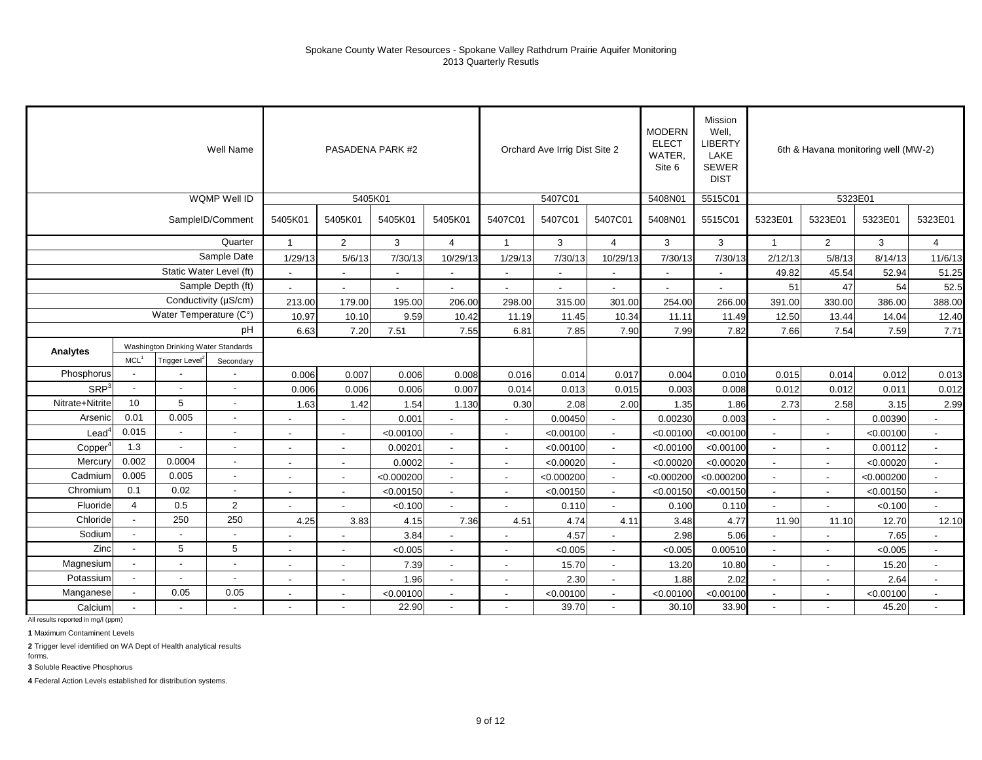|                  |                          |                                     | Well Name                |                          |                          | PASADENA PARK #2 |                          |                          | Orchard Ave Irrig Dist Site 2 |                          | <b>MODERN</b><br><b>ELECT</b><br><b>WATER</b><br>Site 6 | Mission<br>Well,<br><b>LIBERTY</b><br>LAKE<br><b>SEWER</b><br><b>DIST</b> |                          |                          | 6th & Havana monitoring well (MW-2) |                          |
|------------------|--------------------------|-------------------------------------|--------------------------|--------------------------|--------------------------|------------------|--------------------------|--------------------------|-------------------------------|--------------------------|---------------------------------------------------------|---------------------------------------------------------------------------|--------------------------|--------------------------|-------------------------------------|--------------------------|
|                  |                          |                                     | <b>WQMP Well ID</b>      |                          | 5405K01                  |                  |                          |                          | 5407C01                       |                          | 5408N01                                                 | 5515C01                                                                   |                          | 5323E01                  |                                     |                          |
|                  |                          |                                     | SampleID/Comment         | 5405K01                  | 5405K01                  | 5405K01          | 5405K01                  | 5407C01                  | 5407C01                       | 5407C01                  | 5408N01                                                 | 5515C01                                                                   | 5323E01                  | 5323E01                  | 5323E01                             | 5323E01                  |
|                  |                          |                                     | Quarter                  | $\mathbf{1}$             | $\overline{2}$           | 3                | $\overline{4}$           | $\mathbf{1}$             | 3                             | $\overline{4}$           | 3                                                       | 3                                                                         | $\overline{1}$           | $\mathbf{2}$             | 3                                   | $\overline{4}$           |
|                  |                          |                                     | Sample Date              | 1/29/13                  | 5/6/13                   | 7/30/13          | 10/29/13                 | 1/29/13                  | 7/30/13                       | 10/29/13                 | 7/30/13                                                 | 7/30/13                                                                   | 2/12/13                  | 5/8/13                   | 8/14/13                             | 11/6/13                  |
|                  |                          | Static Water Level (ft)             |                          | $\blacksquare$           | $\blacksquare$           | $\blacksquare$   |                          | $\blacksquare$           | $\blacksquare$                |                          | $\blacksquare$                                          | $\blacksquare$                                                            | 49.82                    | 45.54                    | 52.94                               | 51.25                    |
|                  |                          |                                     | Sample Depth (ft)        | $\overline{a}$           |                          |                  |                          |                          |                               |                          |                                                         |                                                                           | 51                       | 47                       | 54                                  | 52.5                     |
|                  |                          |                                     | Conductivity (µS/cm)     | 213.00                   | 179.00                   | 195.00           | 206.00                   | 298.00                   | 315.00                        | 301.00                   | 254.00                                                  | 266.00                                                                    | 391.00                   | 330.00                   | 386.00                              | 388.00                   |
|                  |                          | Water Temperature (C°)              |                          | 10.97                    | 10.10                    | 9.59             | 10.42                    | 11.19                    | 11.45                         | 10.34                    | 11.11                                                   | 11.49                                                                     | 12.50                    | 13.44                    | 14.04                               | 12.40                    |
|                  |                          |                                     | pH                       | 6.63                     | 7.20                     | 7.51             | 7.55                     | 6.81                     | 7.85                          | 7.90                     | 7.99                                                    | 7.82                                                                      | 7.66                     | 7.54                     | 7.59                                | 7.71                     |
| Analytes         |                          | Washington Drinking Water Standards |                          |                          |                          |                  |                          |                          |                               |                          |                                                         |                                                                           |                          |                          |                                     |                          |
|                  | MCL <sup>1</sup>         | Trigger Level                       | Secondary                |                          |                          |                  |                          |                          |                               |                          |                                                         |                                                                           |                          |                          |                                     |                          |
| Phosphorus       |                          |                                     |                          | 0.006                    | 0.007                    | 0.006            | 0.008                    | 0.016                    | 0.014                         | 0.017                    | 0.004                                                   | 0.010                                                                     | 0.015                    | 0.014                    | 0.012                               | 0.013                    |
| SRP <sup>3</sup> | $\overline{\phantom{a}}$ |                                     |                          | 0.006                    | 0.006                    | 0.006            | 0.007                    | 0.014                    | 0.013                         | 0.015                    | 0.003                                                   | 0.008                                                                     | 0.012                    | 0.012                    | 0.011                               | 0.012                    |
| Nitrate+Nitrite  | 10                       | 5                                   | $\sim$                   | 1.63                     | 1.42                     | 1.54             | 1.130                    | 0.30                     | 2.08                          | 2.00                     | 1.35                                                    | 1.86                                                                      | 2.73                     | 2.58                     | 3.15                                | 2.99                     |
| Arsenic          | 0.01                     | 0.005                               | $\overline{\phantom{a}}$ |                          | $\overline{\phantom{a}}$ | 0.001            |                          | $\overline{a}$           | 0.00450                       | $\blacksquare$           | 0.00230                                                 | 0.003                                                                     |                          |                          | 0.00390                             |                          |
| $\text{Lead}^4$  | 0.015                    | $\sim$                              |                          | $\blacksquare$           | $\overline{\phantom{a}}$ | < 0.00100        |                          | $\blacksquare$           | < 0.00100                     |                          | < 0.00100                                               | < 0.00100                                                                 | $\overline{a}$           |                          | < 0.00100                           | $\overline{\phantom{a}}$ |
| Copper           | 1.3                      |                                     |                          | $\overline{\phantom{a}}$ | $\overline{\phantom{a}}$ | 0.00201          |                          | $\overline{\phantom{a}}$ | < 0.00100                     | $\overline{\phantom{a}}$ | < 0.00100                                               | < 0.00100                                                                 | $\overline{\phantom{a}}$ |                          | 0.00112                             | $\overline{\phantom{a}}$ |
| Mercury          | 0.002                    | 0.0004                              | $\overline{\phantom{a}}$ | $\overline{\phantom{a}}$ | $\sim$                   | 0.0002           | $\sim$                   | $\sim$                   | < 0.00020                     | $\overline{\phantom{a}}$ | < 0.00020                                               | < 0.00020                                                                 | $\overline{\phantom{a}}$ | $\overline{\phantom{a}}$ | < 0.00020                           | $\overline{\phantom{a}}$ |
| Cadmium          | 0.005                    | 0.005                               | $\overline{\phantom{a}}$ | $\blacksquare$           | $\blacksquare$           | < 0.000200       |                          | $\blacksquare$           | < 0.000200                    | $\sim$                   | < 0.000200                                              | < 0.000200                                                                | $\overline{a}$           | $\overline{\phantom{a}}$ | < 0.000200                          | $\blacksquare$           |
| Chromium         | 0.1                      | 0.02                                | $\overline{\phantom{a}}$ | $\blacksquare$           | $\blacksquare$           | < 0.00150        | $\sim$                   | $\blacksquare$           | < 0.00150                     | $\overline{\phantom{a}}$ | < 0.00150                                               | < 0.00150                                                                 | $\blacksquare$           |                          | < 0.00150                           | $\overline{\phantom{a}}$ |
| Fluoride         | $\overline{4}$           | 0.5                                 | $\overline{c}$           |                          |                          | < 0.100          |                          | $\blacksquare$           | 0.110                         | $\blacksquare$           | 0.100                                                   | 0.110                                                                     |                          |                          | < 0.100                             |                          |
| Chloride         | $\overline{\phantom{a}}$ | 250                                 | 250                      | 4.25                     | 3.83                     | 4.15             | 7.36                     | 4.51                     | 4.74                          | 4.11                     | 3.48                                                    | 4.77                                                                      | 11.90                    | 11.10                    | 12.70                               | 12.10                    |
| Sodium           | $\overline{a}$           |                                     |                          |                          |                          | 3.84             |                          |                          | 4.57                          |                          | 2.98                                                    | 5.06                                                                      |                          |                          | 7.65                                |                          |
| Zinc             |                          | 5                                   | 5                        | $\blacksquare$           |                          | < 0.005          |                          | $\overline{\phantom{a}}$ | < 0.005                       | $\overline{\phantom{a}}$ | < 0.005                                                 | 0.00510                                                                   | $\overline{a}$           |                          | < 0.005                             |                          |
| Magnesium        |                          | $\blacksquare$                      | $\blacksquare$           | $\overline{\phantom{a}}$ | $\blacksquare$           | 7.39             | $\overline{\phantom{a}}$ | $\overline{\phantom{a}}$ | 15.70                         | $\overline{\phantom{a}}$ | 13.20                                                   | 10.80                                                                     | $\overline{a}$           |                          | 15.20                               | $\sim$                   |
| Potassium        |                          | $\blacksquare$                      | $\sim$                   | $\overline{a}$           | $\overline{\phantom{a}}$ | 1.96             |                          | $\blacksquare$           | 2.30                          | $\blacksquare$           | 1.88                                                    | 2.02                                                                      | L.                       |                          | 2.64                                | $\blacksquare$           |
| Manganese        |                          | 0.05                                | 0.05                     |                          | $\overline{a}$           | < 0.00100        |                          | $\overline{a}$           | < 0.00100                     | $\overline{\phantom{a}}$ | < 0.00100                                               | < 0.00100                                                                 | $\overline{a}$           |                          | < 0.00100                           | $\overline{\phantom{a}}$ |
| Calcium          |                          |                                     |                          | $\overline{a}$           |                          | 22.90            |                          |                          | 39.70                         | $\sim$                   | 30.10                                                   | 33.90                                                                     | $\sim$                   |                          | 45.20                               | $\overline{a}$           |

All results reported in mg/l (ppm)

**1** Maximum Contaminent Levels

**2** Trigger level identified on WA Dept of Health analytical results

forms. **3** Soluble Reactive Phosphorus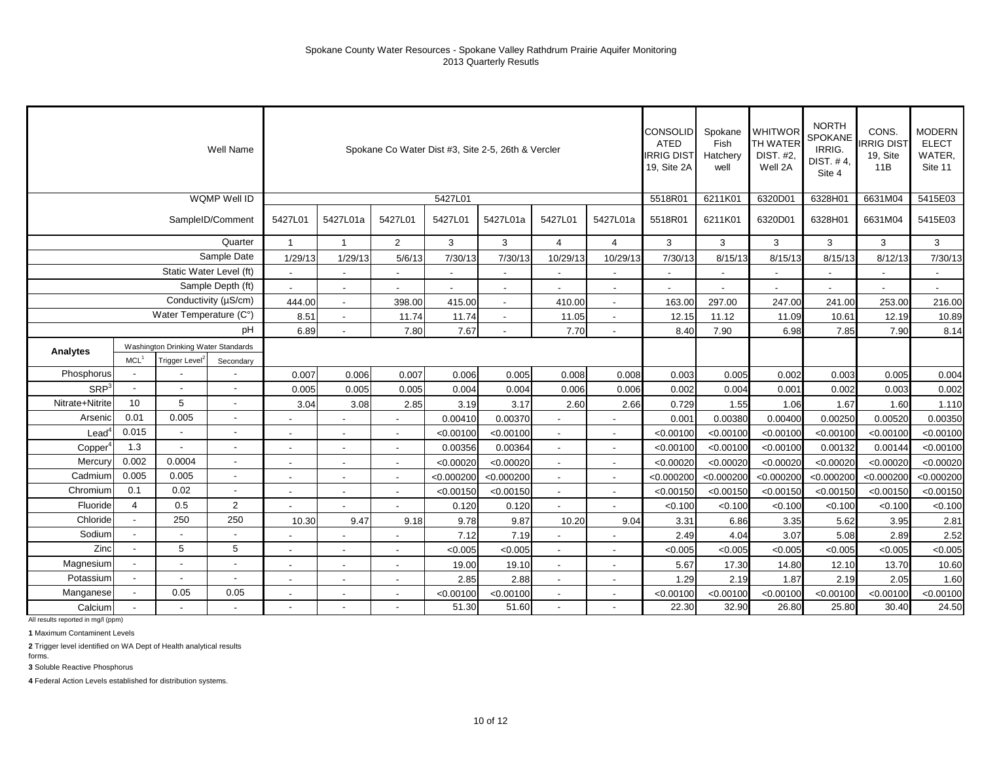|                   |                  |                                     | Well Name                |                          |                          | Spokane Co Water Dist #3, Site 2-5, 26th & Vercler |            |                          |                          |                          | CONSOLID<br><b>ATED</b><br><b>IRRIG DIST</b><br>19, Site 2A | Spokane<br>Fish<br>Hatchery<br>well | <b>WHITWOR</b><br><b>TH WATER</b><br>DIST. #2,<br>Well 2A | <b>NORTH</b><br>SPOKANE<br>IRRIG.<br>DIST. #4,<br>Site 4 | CONS.<br><b>IRRIG DIST</b><br>19, Site<br>11B | <b>MODERN</b><br><b>ELECT</b><br>WATER,<br>Site 11 |
|-------------------|------------------|-------------------------------------|--------------------------|--------------------------|--------------------------|----------------------------------------------------|------------|--------------------------|--------------------------|--------------------------|-------------------------------------------------------------|-------------------------------------|-----------------------------------------------------------|----------------------------------------------------------|-----------------------------------------------|----------------------------------------------------|
|                   |                  |                                     | WQMP Well ID             |                          |                          |                                                    | 5427L01    |                          |                          |                          | 5518R01                                                     | 6211K01                             | 6320D01                                                   | 6328H01                                                  | 6631M04                                       | 5415E03                                            |
|                   |                  |                                     | SampleID/Comment         | 5427L01                  | 5427L01a                 | 5427L01                                            | 5427L01    | 5427L01a                 | 5427L01                  | 5427L01a                 | 5518R01                                                     | 6211K01                             | 6320D01                                                   | 6328H01                                                  | 6631M04                                       | 5415E03                                            |
|                   |                  |                                     | Quarter                  | $\mathbf{1}$             | $\mathbf{1}$             | 2                                                  | 3          | 3                        | $\overline{4}$           | $\overline{4}$           | 3                                                           | 3                                   | 3                                                         | 3                                                        | 3                                             | 3                                                  |
|                   |                  |                                     | Sample Date              | 1/29/13                  | 1/29/13                  | 5/6/13                                             | 7/30/13    | 7/30/13                  | 10/29/13                 | 10/29/13                 | 7/30/13                                                     | 8/15/13                             | 8/15/13                                                   | 8/15/13                                                  | 8/12/13                                       | 7/30/13                                            |
|                   |                  | Static Water Level (ft)             |                          |                          | $\overline{\phantom{a}}$ |                                                    |            | $\blacksquare$           | $\overline{\phantom{a}}$ |                          | $\blacksquare$                                              |                                     |                                                           |                                                          |                                               |                                                    |
|                   |                  |                                     | Sample Depth (ft)        |                          |                          |                                                    |            | $\overline{\phantom{a}}$ |                          | $\overline{\phantom{a}}$ |                                                             |                                     |                                                           |                                                          |                                               |                                                    |
|                   |                  |                                     | Conductivity (µS/cm)     | 444.00                   | $\sim$                   | 398.00                                             | 415.00     | $\overline{\phantom{a}}$ | 410.00                   |                          | 163.00                                                      | 297.00                              | 247.00                                                    | 241.00                                                   | 253.00                                        | 216.00                                             |
|                   |                  | Water Temperature (C°)              |                          | 8.51                     |                          | 11.74                                              | 11.74      |                          | 11.05                    |                          | 12.15                                                       | 11.12                               | 11.09                                                     | 10.61                                                    | 12.19                                         | 10.89                                              |
|                   |                  |                                     | pH                       | 6.89                     |                          | 7.80                                               | 7.67       |                          | 7.70                     |                          | 8.40                                                        | 7.90                                | 6.98                                                      | 7.85                                                     | 7.90                                          | 8.14                                               |
| Analytes          |                  | Washington Drinking Water Standards |                          |                          |                          |                                                    |            |                          |                          |                          |                                                             |                                     |                                                           |                                                          |                                               |                                                    |
|                   | MCL <sup>1</sup> | Trigger Level <sup>2</sup>          | Secondary                |                          |                          |                                                    |            |                          |                          |                          |                                                             |                                     |                                                           |                                                          |                                               |                                                    |
| Phosphorus        |                  |                                     |                          | 0.007                    | 0.006                    | 0.007                                              | 0.006      | 0.005                    | 0.008                    | 0.008                    | 0.003                                                       | 0.005                               | 0.002                                                     | 0.003                                                    | 0.005                                         | 0.004                                              |
| SRP <sup>3</sup>  |                  |                                     |                          | 0.005                    | 0.005                    | 0.005                                              | 0.004      | 0.004                    | 0.006                    | 0.006                    | 0.002                                                       | 0.004                               | 0.001                                                     | 0.002                                                    | 0.003                                         | 0.002                                              |
| Nitrate+Nitrite   | 10               | 5                                   |                          | 3.04                     | 3.08                     | 2.85                                               | 3.19       | 3.17                     | 2.60                     | 2.66                     | 0.729                                                       | 1.55                                | 1.06                                                      | 1.67                                                     | 1.60                                          | 1.110                                              |
| Arsenic           | 0.01             | 0.005                               |                          |                          |                          |                                                    | 0.00410    | 0.00370                  |                          |                          | 0.001                                                       | 0.00380                             | 0.00400                                                   | 0.00250                                                  | 0.00520                                       | 0.00350                                            |
| $\textsf{lead}^4$ | 0.015            |                                     |                          |                          |                          |                                                    | < 0.00100  | < 0.00100                | $\overline{\phantom{a}}$ |                          | < 0.00100                                                   | < 0.00100                           | < 0.00100                                                 | < 0.00100                                                | < 0.00100                                     | < 0.00100                                          |
| Copper            | 1.3              |                                     | $\overline{\phantom{a}}$ | $\overline{\phantom{a}}$ | $\overline{\phantom{a}}$ | $\blacksquare$                                     | 0.00356    | 0.00364                  | $\sim$                   | $\overline{\phantom{a}}$ | < 0.00100                                                   | < 0.00100                           | < 0.00100                                                 | 0.00132                                                  | 0.00144                                       | < 0.00100                                          |
| Mercury           | 0.002            | 0.0004                              | $\overline{\phantom{a}}$ | $\overline{\phantom{a}}$ | $\blacksquare$           | $\overline{\phantom{a}}$                           | < 0.00020  | < 0.00020                | $\overline{\phantom{a}}$ | $\overline{\phantom{a}}$ | < 0.00020                                                   | < 0.00020                           | < 0.00020                                                 | < 0.00020                                                | < 0.00020                                     | < 0.00020                                          |
| Cadmium           | 0.005            | 0.005                               |                          |                          | $\blacksquare$           | $\overline{\phantom{a}}$                           | < 0.000200 | < 0.000200               | $\overline{\phantom{a}}$ | $\sim$                   | < 0.000200                                                  | < 0.000200                          | < 0.000200                                                | < 0.000200                                               | < 0.000200                                    | < 0.000200                                         |
| Chromium          | 0.1              | 0.02                                |                          |                          | $\blacksquare$           |                                                    | < 0.00150  | < 0.00150                | $\blacksquare$           |                          | < 0.00150                                                   | < 0.00150                           | < 0.00150                                                 | < 0.00150                                                | < 0.00150                                     | < 0.00150                                          |
| Fluoride          | $\overline{4}$   | 0.5                                 | $\overline{2}$           |                          | $\blacksquare$           |                                                    | 0.120      | 0.120                    | $\blacksquare$           | $\sim$                   | < 0.100                                                     | < 0.100                             | < 0.100                                                   | < 0.100                                                  | < 0.100                                       | < 0.100                                            |
| Chloride          |                  | 250                                 | 250                      | 10.30                    | 9.47                     | 9.18                                               | 9.78       | 9.87                     | 10.20                    | 9.04                     | 3.31                                                        | 6.86                                | 3.35                                                      | 5.62                                                     | 3.95                                          | 2.81                                               |
| Sodium            |                  |                                     |                          |                          |                          |                                                    | 7.12       | 7.19                     |                          |                          | 2.49                                                        | 4.04                                | 3.07                                                      | 5.08                                                     | 2.89                                          | 2.52                                               |
| Zinc              |                  | 5                                   | 5                        | $\overline{\phantom{a}}$ | $\overline{\phantom{a}}$ |                                                    | < 0.005    | < 0.005                  | $\overline{\phantom{a}}$ |                          | < 0.005                                                     | < 0.005                             | < 0.005                                                   | < 0.005                                                  | < 0.005                                       | < 0.005                                            |
| Magnesium         |                  | $\overline{\phantom{a}}$            |                          | $\overline{\phantom{a}}$ | $\blacksquare$           |                                                    | 19.00      | 19.10                    | $\mathbf{r}$             | $\sim$                   | 5.67                                                        | 17.30                               | 14.80                                                     | 12.10                                                    | 13.70                                         | 10.60                                              |
| Potassium         |                  | $\overline{\phantom{a}}$            |                          | $\overline{\phantom{a}}$ | $\blacksquare$           | $\overline{\phantom{a}}$                           | 2.85       | 2.88                     | $\blacksquare$           | $\sim$                   | 1.29                                                        | 2.19                                | 1.87                                                      | 2.19                                                     | 2.05                                          | 1.60                                               |
| Manganese         |                  | 0.05                                | 0.05                     |                          | $\overline{\phantom{a}}$ | $\overline{\phantom{a}}$                           | < 0.00100  | < 0.00100                | $\blacksquare$           |                          | < 0.00100                                                   | < 0.00100                           | < 0.00100                                                 | < 0.00100                                                | < 0.00100                                     | < 0.00100                                          |
| Calcium           |                  |                                     |                          |                          |                          |                                                    | 51.30      | 51.60                    | $\overline{\phantom{a}}$ |                          | 22.30                                                       | 32.90                               | 26.80                                                     | 25.80                                                    | 30.40                                         | 24.50                                              |

All results reported in mg/l (ppm)

**1** Maximum Contaminent Levels

**2** Trigger level identified on WA Dept of Health analytical results

forms. **3** Soluble Reactive Phosphorus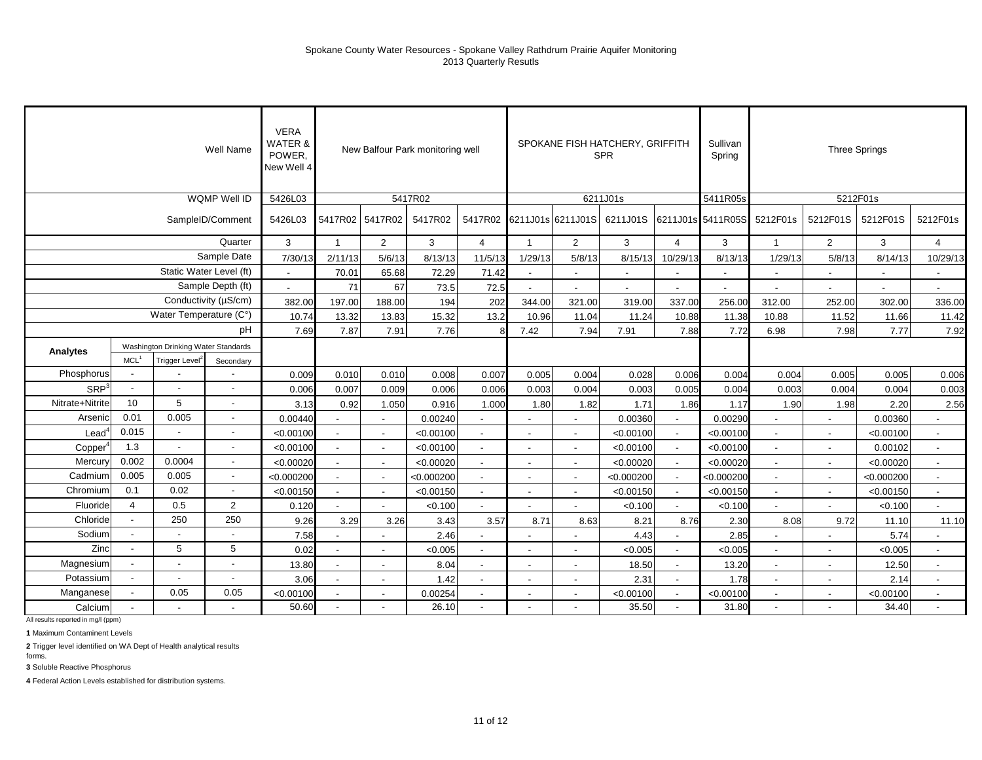|                     |                  |                                     | Well Name                | <b>VERA</b><br><b>WATER &amp;</b><br>POWER.<br>New Well 4 |                          |                          | New Balfour Park monitoring well |                          |                          |                           | SPOKANE FISH HATCHERY, GRIFFITH<br><b>SPR</b> |                | Sullivan<br>Spring         |                          |                          | <b>Three Springs</b> |                          |
|---------------------|------------------|-------------------------------------|--------------------------|-----------------------------------------------------------|--------------------------|--------------------------|----------------------------------|--------------------------|--------------------------|---------------------------|-----------------------------------------------|----------------|----------------------------|--------------------------|--------------------------|----------------------|--------------------------|
|                     |                  |                                     | WQMP Well ID             | 5426L03                                                   |                          |                          | 5417R02                          |                          |                          |                           | 6211J01s                                      |                | 5411R05s                   |                          |                          | 5212F01s             |                          |
|                     |                  |                                     | SampleID/Comment         | 5426L03                                                   | 5417R02 5417R02          |                          | 5417R02                          |                          |                          | 5417R02 6211J01s 6211J01S | 6211J01S                                      |                | 6211J01s 5411R05S 5212F01s |                          | 5212F01S                 | 5212F01S             | 5212F01s                 |
|                     |                  |                                     | Quarter                  | 3                                                         | $\mathbf{1}$             | $\overline{2}$           | 3                                | $\overline{4}$           | $\overline{1}$           | 2                         | 3                                             | $\overline{4}$ | 3                          | $\overline{\mathbf{1}}$  | $\overline{2}$           | 3                    | $\overline{4}$           |
|                     |                  |                                     | Sample Date              | 7/30/13                                                   | 2/11/13                  | 5/6/13                   | 8/13/13                          | 11/5/13                  | 1/29/13                  | 5/8/13                    | 8/15/13                                       | 10/29/13       | 8/13/13                    | 1/29/13                  | 5/8/13                   | 8/14/13              | 10/29/13                 |
|                     |                  | Static Water Level (ft)             |                          | $\sim$                                                    | 70.01                    | 65.68                    | 72.29                            | 71.42                    | $\sim$                   | $\overline{a}$            |                                               |                | $\overline{\phantom{a}}$   |                          |                          |                      | $\blacksquare$           |
|                     |                  |                                     | Sample Depth (ft)        | $\sim$                                                    | 71                       | 67                       | 73.5                             | 72.5                     |                          |                           |                                               |                |                            |                          |                          |                      |                          |
|                     |                  |                                     | Conductivity (µS/cm)     | 382.00                                                    | 197.00                   | 188.00                   | 194                              | 202                      | 344.00                   | 321.00                    | 319.00                                        | 337.00         | 256.00                     | 312.00                   | 252.00                   | 302.00               | 336.00                   |
|                     |                  | Water Temperature (C°)              |                          | 10.74                                                     | 13.32                    | 13.83                    | 15.32                            | 13.2                     | 10.96                    | 11.04                     | 11.24                                         | 10.88          | 11.38                      | 10.88                    | 11.52                    | 11.66                | 11.42                    |
|                     |                  |                                     | pH                       | 7.69                                                      | 7.87                     | 7.91                     | 7.76                             |                          | 7.42                     | 7.94                      | 7.91                                          | 7.88           | 7.72                       | 6.98                     | 7.98                     | 7.77                 | 7.92                     |
| Analytes            |                  | Washington Drinking Water Standards |                          |                                                           |                          |                          |                                  |                          |                          |                           |                                               |                |                            |                          |                          |                      |                          |
|                     | MCL <sup>1</sup> | Trigger Level <sup>2</sup>          | Secondary                |                                                           |                          |                          |                                  |                          |                          |                           |                                               |                |                            |                          |                          |                      |                          |
| Phosphorus          | $\blacksquare$   |                                     | $\blacksquare$           | 0.009                                                     | 0.010                    | 0.010                    | 0.008                            | 0.007                    | 0.005                    | 0.004                     | 0.028                                         | 0.006          | 0.004                      | 0.004                    | 0.005                    | 0.005                | 0.006                    |
| SRP <sup>3</sup>    | $\overline{a}$   | $\ddot{\phantom{a}}$                | $\overline{a}$           | 0.006                                                     | 0.007                    | 0.009                    | 0.006                            | 0.006                    | 0.003                    | 0.004                     | 0.003                                         | 0.005          | 0.004                      | 0.003                    | 0.004                    | 0.004                | 0.003                    |
| Nitrate+Nitrite     | 10               | 5                                   | $\blacksquare$           | 3.13                                                      | 0.92                     | 1.050                    | 0.916                            | 1.000                    | 1.80                     | 1.82                      | 1.71                                          | 1.86           | 1.17                       | 1.90                     | 1.98                     | 2.20                 | 2.56                     |
| Arsenic             | 0.01             | 0.005                               | $\blacksquare$           | 0.00440                                                   |                          | $\overline{\phantom{a}}$ | 0.00240                          | $\overline{a}$           | $\overline{\phantom{a}}$ | ٠                         | 0.00360                                       | $\overline{a}$ | 0.00290                    | $\sim$                   | $\blacksquare$           | 0.00360              | $\sim$                   |
| $\textsf{lead}^*$   | 0.015            |                                     |                          | < 0.00100                                                 |                          |                          | < 0.00100                        |                          |                          |                           | < 0.00100                                     |                | < 0.00100                  |                          |                          | < 0.00100            |                          |
| Copper <sup>4</sup> | 1.3              |                                     |                          | < 0.00100                                                 |                          |                          | < 0.00100                        |                          |                          |                           | < 0.00100                                     |                | < 0.00100                  |                          |                          | 0.00102              | $\overline{\phantom{a}}$ |
| Mercury             | 0.002            | 0.0004                              | $\overline{\phantom{a}}$ | < 0.00020                                                 | $\overline{\phantom{a}}$ | $\overline{\phantom{a}}$ | < 0.00020                        | $\overline{\phantom{a}}$ | $\blacksquare$           | $\overline{\phantom{a}}$  | < 0.00020                                     | $\sim$         | < 0.00020                  | $\overline{\phantom{a}}$ | $\sim$                   | < 0.00020            | $\sim$                   |
| Cadmium             | 0.005            | 0.005                               | $\overline{\phantom{a}}$ | < 0.000200                                                | $\overline{\phantom{a}}$ | $\overline{\phantom{a}}$ | < 0.000200                       | $\sim$                   | $\blacksquare$           | $\overline{\phantom{a}}$  | < 0.000200                                    | $\blacksquare$ | < 0.000200                 | $\overline{\phantom{a}}$ | $\blacksquare$           | < 0.000200           | $\sim$                   |
| Chromium            | 0.1              | 0.02                                | $\blacksquare$           | < 0.00150                                                 | $\blacksquare$           | $\blacksquare$           | < 0.00150                        | $\blacksquare$           | $\overline{\phantom{a}}$ | $\overline{\phantom{a}}$  | < 0.00150                                     | $\blacksquare$ | < 0.00150                  | $\mathbf{r}$             | $\overline{\phantom{a}}$ | < 0.00150            | $\blacksquare$           |
| Fluoride            | $\overline{4}$   | 0.5                                 | $\overline{2}$           | 0.120                                                     |                          |                          | < 0.100                          |                          |                          |                           | < 0.100                                       | $\blacksquare$ | < 0.100                    |                          |                          | < 0.100              | $\overline{a}$           |
| Chloride            | $\mathbf{r}$     | 250                                 | 250                      | 9.26                                                      | 3.29                     | 3.26                     | 3.43                             | 3.57                     | 8.71                     | 8.63                      | 8.21                                          | 8.76           | 2.30                       | 8.08                     | 9.72                     | 11.10                | 11.10                    |
| Sodium              | $\sim$           |                                     | $\sim$                   | 7.58                                                      |                          |                          | 2.46                             |                          |                          |                           | 4.43                                          |                | 2.85                       |                          |                          | 5.74                 |                          |
| Zinc                |                  | 5                                   | 5                        | 0.02                                                      |                          |                          | < 0.005                          |                          |                          |                           | < 0.005                                       |                | < 0.005                    |                          |                          | < 0.005              |                          |
| Magnesium           |                  |                                     | $\overline{\phantom{a}}$ | 13.80                                                     | $\overline{\phantom{a}}$ | $\overline{\phantom{a}}$ | 8.04                             | $\overline{\phantom{a}}$ | $\overline{\phantom{a}}$ | $\overline{\phantom{a}}$  | 18.50                                         | $\sim$         | 13.20                      | $\sim$                   | $\sim$                   | 12.50                | $\blacksquare$           |
| Potassium           | $\blacksquare$   | $\blacksquare$                      | $\overline{\phantom{a}}$ | 3.06                                                      | $\blacksquare$           | $\overline{\phantom{a}}$ | 1.42                             | $\blacksquare$           | $\overline{\phantom{a}}$ | $\overline{\phantom{a}}$  | 2.31                                          | $\blacksquare$ | 1.78                       | $\blacksquare$           |                          | 2.14                 | $\overline{\phantom{a}}$ |
| Manganese           | $\blacksquare$   | 0.05                                | 0.05                     | < 0.00100                                                 |                          | $\overline{\phantom{a}}$ | 0.00254                          | $\blacksquare$           |                          |                           | < 0.00100                                     |                | < 0.00100                  | $\sim$                   |                          | < 0.00100            | $\overline{\phantom{a}}$ |
| Calcium             |                  |                                     | $\sim$                   | 50.60                                                     | $\overline{\phantom{a}}$ |                          | 26.10                            | $\blacksquare$           | $\blacksquare$           |                           | 35.50                                         | $\blacksquare$ | 31.80                      | $\blacksquare$           |                          | 34.40                | $\overline{\phantom{a}}$ |

All results reported in mg/l (ppm)

**1** Maximum Contaminent Levels

**2** Trigger level identified on WA Dept of Health analytical results

forms. **3** Soluble Reactive Phosphorus